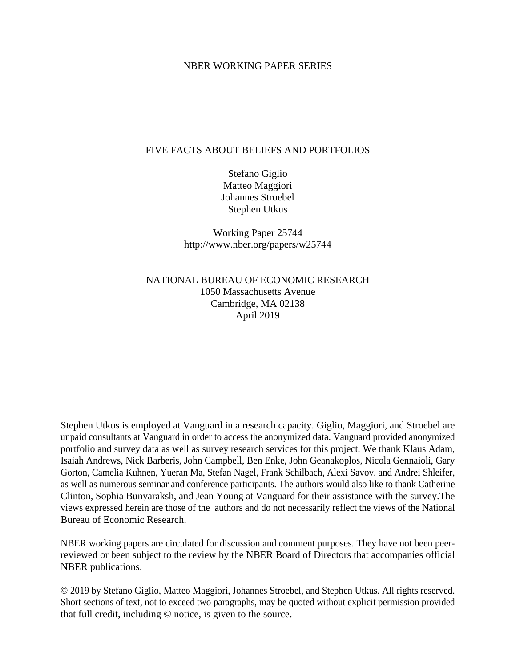### NBER WORKING PAPER SERIES

### FIVE FACTS ABOUT BELIEFS AND PORTFOLIOS

Stefano Giglio Matteo Maggiori Johannes Stroebel Stephen Utkus

Working Paper 25744 http://www.nber.org/papers/w25744

NATIONAL BUREAU OF ECONOMIC RESEARCH 1050 Massachusetts Avenue Cambridge, MA 02138 April 2019

Stephen Utkus is employed at Vanguard in a research capacity. Giglio, Maggiori, and Stroebel are unpaid consultants at Vanguard in order to access the anonymized data. Vanguard provided anonymized portfolio and survey data as well as survey research services for this project. We thank Klaus Adam, Isaiah Andrews, Nick Barberis, John Campbell, Ben Enke, John Geanakoplos, Nicola Gennaioli, Gary Gorton, Camelia Kuhnen, Yueran Ma, Stefan Nagel, Frank Schilbach, Alexi Savov, and Andrei Shleifer, as well as numerous seminar and conference participants. The authors would also like to thank Catherine Clinton, Sophia Bunyaraksh, and Jean Young at Vanguard for their assistance with the survey.The views expressed herein are those of the authors and do not necessarily reflect the views of the National Bureau of Economic Research.

NBER working papers are circulated for discussion and comment purposes. They have not been peerreviewed or been subject to the review by the NBER Board of Directors that accompanies official NBER publications.

© 2019 by Stefano Giglio, Matteo Maggiori, Johannes Stroebel, and Stephen Utkus. All rights reserved. Short sections of text, not to exceed two paragraphs, may be quoted without explicit permission provided that full credit, including © notice, is given to the source.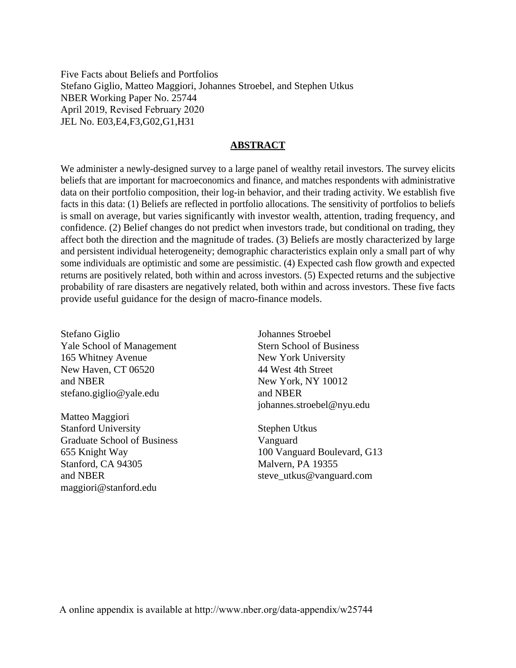Five Facts about Beliefs and Portfolios Stefano Giglio, Matteo Maggiori, Johannes Stroebel, and Stephen Utkus NBER Working Paper No. 25744 April 2019, Revised February 2020 JEL No. E03,E4,F3,G02,G1,H31

### **ABSTRACT**

We administer a newly-designed survey to a large panel of wealthy retail investors. The survey elicits beliefs that are important for macroeconomics and finance, and matches respondents with administrative data on their portfolio composition, their log-in behavior, and their trading activity. We establish five facts in this data: (1) Beliefs are reflected in portfolio allocations. The sensitivity of portfolios to beliefs is small on average, but varies significantly with investor wealth, attention, trading frequency, and confidence. (2) Belief changes do not predict when investors trade, but conditional on trading, they affect both the direction and the magnitude of trades. (3) Beliefs are mostly characterized by large and persistent individual heterogeneity; demographic characteristics explain only a small part of why some individuals are optimistic and some are pessimistic. (4) Expected cash flow growth and expected returns are positively related, both within and across investors. (5) Expected returns and the subjective probability of rare disasters are negatively related, both within and across investors. These five facts provide useful guidance for the design of macro-finance models.

Stefano Giglio Yale School of Management 165 Whitney Avenue New Haven, CT 06520 and NBER stefano.giglio@yale.edu

Matteo Maggiori Stanford University Graduate School of Business 655 Knight Way Stanford, CA 94305 and NBER maggiori@stanford.edu

Johannes Stroebel Stern School of Business New York University 44 West 4th Street New York, NY 10012 and NBER johannes.stroebel@nyu.edu

Stephen Utkus Vanguard 100 Vanguard Boulevard, G13 Malvern, PA 19355 steve\_utkus@vanguard.com

A online appendix is available at http://www.nber.org/data-appendix/w25744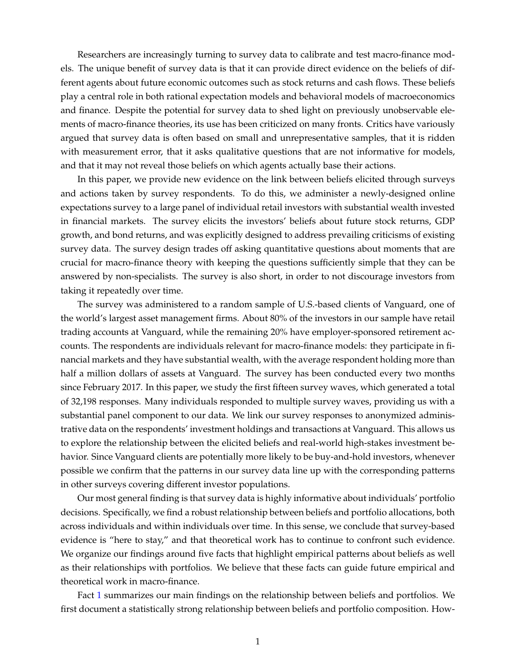Researchers are increasingly turning to survey data to calibrate and test macro-finance models. The unique benefit of survey data is that it can provide direct evidence on the beliefs of different agents about future economic outcomes such as stock returns and cash flows. These beliefs play a central role in both rational expectation models and behavioral models of macroeconomics and finance. Despite the potential for survey data to shed light on previously unobservable elements of macro-finance theories, its use has been criticized on many fronts. Critics have variously argued that survey data is often based on small and unrepresentative samples, that it is ridden with measurement error, that it asks qualitative questions that are not informative for models, and that it may not reveal those beliefs on which agents actually base their actions.

In this paper, we provide new evidence on the link between beliefs elicited through surveys and actions taken by survey respondents. To do this, we administer a newly-designed online expectations survey to a large panel of individual retail investors with substantial wealth invested in financial markets. The survey elicits the investors' beliefs about future stock returns, GDP growth, and bond returns, and was explicitly designed to address prevailing criticisms of existing survey data. The survey design trades off asking quantitative questions about moments that are crucial for macro-finance theory with keeping the questions sufficiently simple that they can be answered by non-specialists. The survey is also short, in order to not discourage investors from taking it repeatedly over time.

The survey was administered to a random sample of U.S.-based clients of Vanguard, one of the world's largest asset management firms. About 80% of the investors in our sample have retail trading accounts at Vanguard, while the remaining 20% have employer-sponsored retirement accounts. The respondents are individuals relevant for macro-finance models: they participate in financial markets and they have substantial wealth, with the average respondent holding more than half a million dollars of assets at Vanguard. The survey has been conducted every two months since February 2017. In this paper, we study the first fifteen survey waves, which generated a total of 32,198 responses. Many individuals responded to multiple survey waves, providing us with a substantial panel component to our data. We link our survey responses to anonymized administrative data on the respondents' investment holdings and transactions at Vanguard. This allows us to explore the relationship between the elicited beliefs and real-world high-stakes investment behavior. Since Vanguard clients are potentially more likely to be buy-and-hold investors, whenever possible we confirm that the patterns in our survey data line up with the corresponding patterns in other surveys covering different investor populations.

Our most general finding is that survey data is highly informative about individuals' portfolio decisions. Specifically, we find a robust relationship between beliefs and portfolio allocations, both across individuals and within individuals over time. In this sense, we conclude that survey-based evidence is "here to stay," and that theoretical work has to continue to confront such evidence. We organize our findings around five facts that highlight empirical patterns about beliefs as well as their relationships with portfolios. We believe that these facts can guide future empirical and theoretical work in macro-finance.

Fact [1](#page-20-0) summarizes our main findings on the relationship between beliefs and portfolios. We first document a statistically strong relationship between beliefs and portfolio composition. How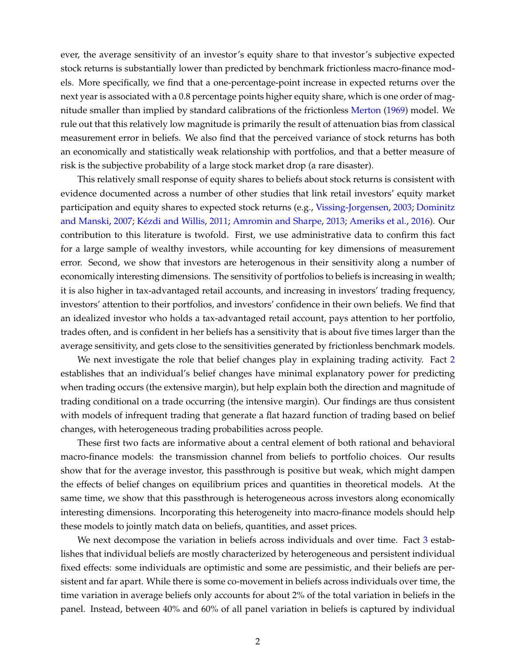ever, the average sensitivity of an investor's equity share to that investor's subjective expected stock returns is substantially lower than predicted by benchmark frictionless macro-finance models. More specifically, we find that a one-percentage-point increase in expected returns over the next year is associated with a 0.8 percentage points higher equity share, which is one order of magnitude smaller than implied by standard calibrations of the frictionless [Merton](#page-38-0) [\(1969\)](#page-38-0) model. We rule out that this relatively low magnitude is primarily the result of attenuation bias from classical measurement error in beliefs. We also find that the perceived variance of stock returns has both an economically and statistically weak relationship with portfolios, and that a better measure of risk is the subjective probability of a large stock market drop (a rare disaster).

This relatively small response of equity shares to beliefs about stock returns is consistent with evidence documented across a number of other studies that link retail investors' equity market participation and equity shares to expected stock returns (e.g., [Vissing-Jorgensen,](#page-38-1) [2003;](#page-38-1) [Dominitz](#page-37-0) [and Manski,](#page-37-0) [2007;](#page-37-0) [Kézdi and Willis,](#page-38-2) [2011;](#page-38-2) [Amromin and Sharpe,](#page-35-0) [2013;](#page-35-0) [Ameriks et al.,](#page-35-1) [2016\)](#page-35-1). Our contribution to this literature is twofold. First, we use administrative data to confirm this fact for a large sample of wealthy investors, while accounting for key dimensions of measurement error. Second, we show that investors are heterogenous in their sensitivity along a number of economically interesting dimensions. The sensitivity of portfolios to beliefs is increasing in wealth; it is also higher in tax-advantaged retail accounts, and increasing in investors' trading frequency, investors' attention to their portfolios, and investors' confidence in their own beliefs. We find that an idealized investor who holds a tax-advantaged retail account, pays attention to her portfolio, trades often, and is confident in her beliefs has a sensitivity that is about five times larger than the average sensitivity, and gets close to the sensitivities generated by frictionless benchmark models.

We next investigate the role that belief changes play in explaining trading activity. Fact [2](#page-23-0) establishes that an individual's belief changes have minimal explanatory power for predicting when trading occurs (the extensive margin), but help explain both the direction and magnitude of trading conditional on a trade occurring (the intensive margin). Our findings are thus consistent with models of infrequent trading that generate a flat hazard function of trading based on belief changes, with heterogeneous trading probabilities across people.

These first two facts are informative about a central element of both rational and behavioral macro-finance models: the transmission channel from beliefs to portfolio choices. Our results show that for the average investor, this passthrough is positive but weak, which might dampen the effects of belief changes on equilibrium prices and quantities in theoretical models. At the same time, we show that this passthrough is heterogeneous across investors along economically interesting dimensions. Incorporating this heterogeneity into macro-finance models should help these models to jointly match data on beliefs, quantities, and asset prices.

We next decompose the variation in beliefs across individuals and over time. Fact [3](#page-29-0) establishes that individual beliefs are mostly characterized by heterogeneous and persistent individual fixed effects: some individuals are optimistic and some are pessimistic, and their beliefs are persistent and far apart. While there is some co-movement in beliefs across individuals over time, the time variation in average beliefs only accounts for about 2% of the total variation in beliefs in the panel. Instead, between 40% and 60% of all panel variation in beliefs is captured by individual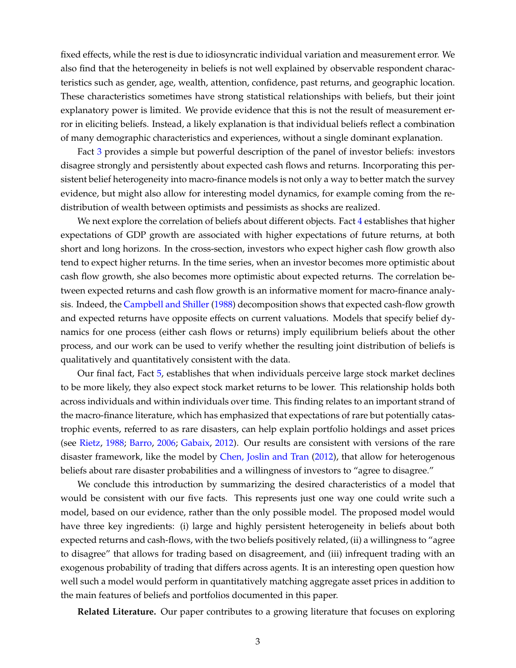fixed effects, while the rest is due to idiosyncratic individual variation and measurement error. We also find that the heterogeneity in beliefs is not well explained by observable respondent characteristics such as gender, age, wealth, attention, confidence, past returns, and geographic location. These characteristics sometimes have strong statistical relationships with beliefs, but their joint explanatory power is limited. We provide evidence that this is not the result of measurement error in eliciting beliefs. Instead, a likely explanation is that individual beliefs reflect a combination of many demographic characteristics and experiences, without a single dominant explanation.

Fact [3](#page-29-0) provides a simple but powerful description of the panel of investor beliefs: investors disagree strongly and persistently about expected cash flows and returns. Incorporating this persistent belief heterogeneity into macro-finance models is not only a way to better match the survey evidence, but might also allow for interesting model dynamics, for example coming from the redistribution of wealth between optimists and pessimists as shocks are realized.

We next explore the correlation of beliefs about different objects. Fact [4](#page-30-0) establishes that higher expectations of GDP growth are associated with higher expectations of future returns, at both short and long horizons. In the cross-section, investors who expect higher cash flow growth also tend to expect higher returns. In the time series, when an investor becomes more optimistic about cash flow growth, she also becomes more optimistic about expected returns. The correlation between expected returns and cash flow growth is an informative moment for macro-finance analysis. Indeed, the [Campbell and Shiller](#page-36-0) [\(1988\)](#page-36-0) decomposition shows that expected cash-flow growth and expected returns have opposite effects on current valuations. Models that specify belief dynamics for one process (either cash flows or returns) imply equilibrium beliefs about the other process, and our work can be used to verify whether the resulting joint distribution of beliefs is qualitatively and quantitatively consistent with the data.

Our final fact, Fact [5,](#page-33-0) establishes that when individuals perceive large stock market declines to be more likely, they also expect stock market returns to be lower. This relationship holds both across individuals and within individuals over time. This finding relates to an important strand of the macro-finance literature, which has emphasized that expectations of rare but potentially catastrophic events, referred to as rare disasters, can help explain portfolio holdings and asset prices (see [Rietz,](#page-38-3) [1988;](#page-38-3) [Barro,](#page-36-1) [2006;](#page-36-1) [Gabaix,](#page-37-1) [2012\)](#page-37-1). Our results are consistent with versions of the rare disaster framework, like the model by [Chen, Joslin and Tran](#page-36-2) [\(2012\)](#page-36-2), that allow for heterogenous beliefs about rare disaster probabilities and a willingness of investors to "agree to disagree."

We conclude this introduction by summarizing the desired characteristics of a model that would be consistent with our five facts. This represents just one way one could write such a model, based on our evidence, rather than the only possible model. The proposed model would have three key ingredients: (i) large and highly persistent heterogeneity in beliefs about both expected returns and cash-flows, with the two beliefs positively related, (ii) a willingness to "agree to disagree" that allows for trading based on disagreement, and (iii) infrequent trading with an exogenous probability of trading that differs across agents. It is an interesting open question how well such a model would perform in quantitatively matching aggregate asset prices in addition to the main features of beliefs and portfolios documented in this paper.

**Related Literature.** Our paper contributes to a growing literature that focuses on exploring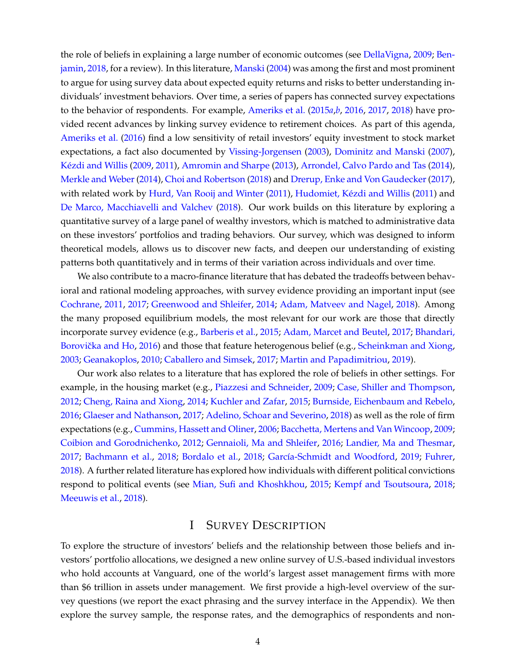the role of beliefs in explaining a large number of economic outcomes (see [DellaVigna,](#page-36-3) [2009;](#page-36-3) [Ben](#page-36-4)[jamin,](#page-36-4) [2018,](#page-36-4) for a review). In this literature, [Manski](#page-38-4) [\(2004\)](#page-38-4) was among the first and most prominent to argue for using survey data about expected equity returns and risks to better understanding individuals' investment behaviors. Over time, a series of papers has connected survey expectations to the behavior of respondents. For example, [Ameriks et al.](#page-35-2) [\(2015](#page-35-2)*a*,*[b](#page-35-3)*, [2016,](#page-35-1) [2017,](#page-35-4) [2018\)](#page-35-5) have provided recent advances by linking survey evidence to retirement choices. As part of this agenda, [Ameriks et al.](#page-35-1) [\(2016\)](#page-35-1) find a low sensitivity of retail investors' equity investment to stock market expectations, a fact also documented by [Vissing-Jorgensen](#page-38-1) [\(2003\)](#page-38-1), [Dominitz and Manski](#page-37-0) [\(2007\)](#page-37-0), [Kézdi and Willis](#page-38-5) [\(2009,](#page-38-5) [2011\)](#page-38-2), [Amromin and Sharpe](#page-35-0) [\(2013\)](#page-35-0), [Arrondel, Calvo Pardo and Tas](#page-35-6) [\(2014\)](#page-35-6), [Merkle and Weber\(2014\)](#page-38-6), [Choi and Robertson](#page-36-5) [\(2018\)](#page-36-5) and [Drerup, Enke and Von Gaudecker\(2017\)](#page-37-2), with related work by [Hurd, Van Rooij and Winter](#page-37-3) [\(2011\)](#page-37-3), [Hudomiet, Kézdi and Willis](#page-37-4) [\(2011\)](#page-37-4) and [De Marco, Macchiavelli and Valchev](#page-37-5) [\(2018\)](#page-37-5). Our work builds on this literature by exploring a quantitative survey of a large panel of wealthy investors, which is matched to administrative data on these investors' portfolios and trading behaviors. Our survey, which was designed to inform theoretical models, allows us to discover new facts, and deepen our understanding of existing patterns both quantitatively and in terms of their variation across individuals and over time.

We also contribute to a macro-finance literature that has debated the tradeoffs between behavioral and rational modeling approaches, with survey evidence providing an important input (see [Cochrane,](#page-36-6) [2011,](#page-36-6) [2017;](#page-36-7) [Greenwood and Shleifer,](#page-37-6) [2014;](#page-37-6) [Adam, Matveev and Nagel,](#page-35-7) [2018\)](#page-35-7). Among the many proposed equilibrium models, the most relevant for our work are those that directly incorporate survey evidence (e.g., [Barberis et al.,](#page-36-8) [2015;](#page-36-8) [Adam, Marcet and Beutel,](#page-35-8) [2017;](#page-35-8) [Bhandari,](#page-36-9) Borovička and Ho, [2016\)](#page-36-9) and those that feature heterogenous belief (e.g., [Scheinkman and Xiong,](#page-38-7) [2003;](#page-38-7) [Geanakoplos,](#page-37-7) [2010;](#page-37-7) [Caballero and Simsek,](#page-36-10) [2017;](#page-36-10) [Martin and Papadimitriou,](#page-38-8) [2019\)](#page-38-8).

Our work also relates to a literature that has explored the role of beliefs in other settings. For example, in the housing market (e.g., [Piazzesi and Schneider,](#page-38-9) [2009;](#page-38-9) [Case, Shiller and Thompson,](#page-36-11) [2012;](#page-36-11) [Cheng, Raina and Xiong,](#page-36-12) [2014;](#page-36-12) [Kuchler and Zafar,](#page-38-10) [2015;](#page-38-10) [Burnside, Eichenbaum and Rebelo,](#page-36-13) [2016;](#page-36-13) [Glaeser and Nathanson,](#page-37-8) [2017;](#page-37-8) [Adelino, Schoar and Severino,](#page-35-9) [2018\)](#page-35-9) as well as the role of firm expectations (e.g., [Cummins, Hassett and Oliner,](#page-36-14) [2006;](#page-36-14) [Bacchetta, Mertens and Van Wincoop,](#page-35-10) [2009;](#page-35-10) [Coibion and Gorodnichenko,](#page-36-15) [2012;](#page-36-15) [Gennaioli, Ma and Shleifer,](#page-37-9) [2016;](#page-37-9) [Landier, Ma and Thesmar,](#page-38-11) [2017;](#page-38-11) [Bachmann et al.,](#page-35-11) [2018;](#page-35-11) [Bordalo et al.,](#page-36-16) [2018;](#page-36-16) [García-Schmidt and Woodford,](#page-37-10) [2019;](#page-37-10) [Fuhrer,](#page-37-11) [2018\)](#page-37-11). A further related literature has explored how individuals with different political convictions respond to political events (see [Mian, Sufi and Khoshkhou,](#page-38-12) [2015;](#page-38-12) [Kempf and Tsoutsoura,](#page-37-12) [2018;](#page-37-12) [Meeuwis et al.,](#page-38-13) [2018\)](#page-38-13).

## I SURVEY DESCRIPTION

<span id="page-5-0"></span>To explore the structure of investors' beliefs and the relationship between those beliefs and investors' portfolio allocations, we designed a new online survey of U.S.-based individual investors who hold accounts at Vanguard, one of the world's largest asset management firms with more than \$6 trillion in assets under management. We first provide a high-level overview of the survey questions (we report the exact phrasing and the survey interface in the Appendix). We then explore the survey sample, the response rates, and the demographics of respondents and non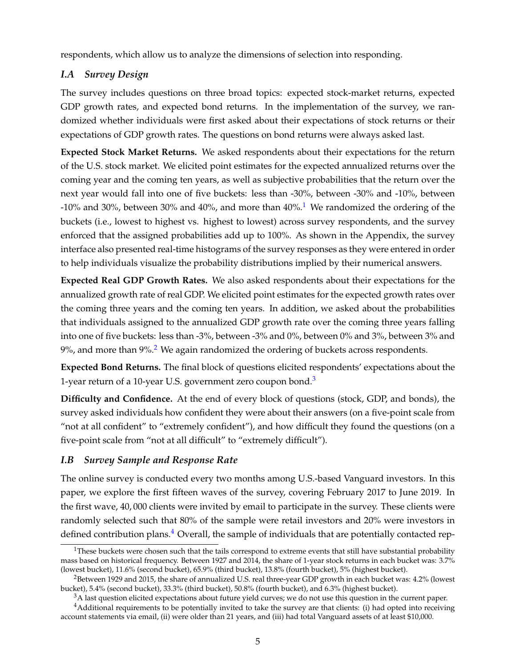respondents, which allow us to analyze the dimensions of selection into responding.

# *I.A Survey Design*

The survey includes questions on three broad topics: expected stock-market returns, expected GDP growth rates, and expected bond returns. In the implementation of the survey, we randomized whether individuals were first asked about their expectations of stock returns or their expectations of GDP growth rates. The questions on bond returns were always asked last.

**Expected Stock Market Returns.** We asked respondents about their expectations for the return of the U.S. stock market. We elicited point estimates for the expected annualized returns over the coming year and the coming ten years, as well as subjective probabilities that the return over the next year would fall into one of five buckets: less than -30%, between -30% and -10%, between -[1](#page-6-0)0% and 30%, between 30% and 40%, and more than  $40\%$ .<sup>1</sup> We randomized the ordering of the buckets (i.e., lowest to highest vs. highest to lowest) across survey respondents, and the survey enforced that the assigned probabilities add up to 100%. As shown in the Appendix, the survey interface also presented real-time histograms of the survey responses as they were entered in order to help individuals visualize the probability distributions implied by their numerical answers.

**Expected Real GDP Growth Rates.** We also asked respondents about their expectations for the annualized growth rate of real GDP. We elicited point estimates for the expected growth rates over the coming three years and the coming ten years. In addition, we asked about the probabilities that individuals assigned to the annualized GDP growth rate over the coming three years falling into one of five buckets: less than -3%, between -3% and 0%, between 0% and 3%, between 3% and  $9\%$ , and more than  $9\%$ <sup>[2](#page-6-1)</sup>. We again randomized the ordering of buckets across respondents.

**Expected Bond Returns.** The final block of questions elicited respondents' expectations about the 1-year return of a 10-year U.S. government zero coupon bond.<sup>[3](#page-6-2)</sup>

**Difficulty and Confidence.** At the end of every block of questions (stock, GDP, and bonds), the survey asked individuals how confident they were about their answers (on a five-point scale from "not at all confident" to "extremely confident"), and how difficult they found the questions (on a five-point scale from "not at all difficult" to "extremely difficult").

## *I.B Survey Sample and Response Rate*

The online survey is conducted every two months among U.S.-based Vanguard investors. In this paper, we explore the first fifteen waves of the survey, covering February 2017 to June 2019. In the first wave, 40, 000 clients were invited by email to participate in the survey. These clients were randomly selected such that 80% of the sample were retail investors and 20% were investors in defined contribution plans.<sup>[4](#page-6-3)</sup> Overall, the sample of individuals that are potentially contacted rep-

<span id="page-6-0"></span> $1$ These buckets were chosen such that the tails correspond to extreme events that still have substantial probability mass based on historical frequency. Between 1927 and 2014, the share of 1-year stock returns in each bucket was: 3.7% (lowest bucket), 11.6% (second bucket), 65.9% (third bucket), 13.8% (fourth bucket), 5% (highest bucket).

<span id="page-6-1"></span><sup>2</sup>Between 1929 and 2015, the share of annualized U.S. real three-year GDP growth in each bucket was: 4.2% (lowest bucket), 5.4% (second bucket), 33.3% (third bucket), 50.8% (fourth bucket), and 6.3% (highest bucket).

<span id="page-6-3"></span><span id="page-6-2"></span> $3A$  last question elicited expectations about future yield curves; we do not use this question in the current paper.

<sup>&</sup>lt;sup>4</sup>Additional requirements to be potentially invited to take the survey are that clients: (i) had opted into receiving account statements via email, (ii) were older than 21 years, and (iii) had total Vanguard assets of at least \$10,000.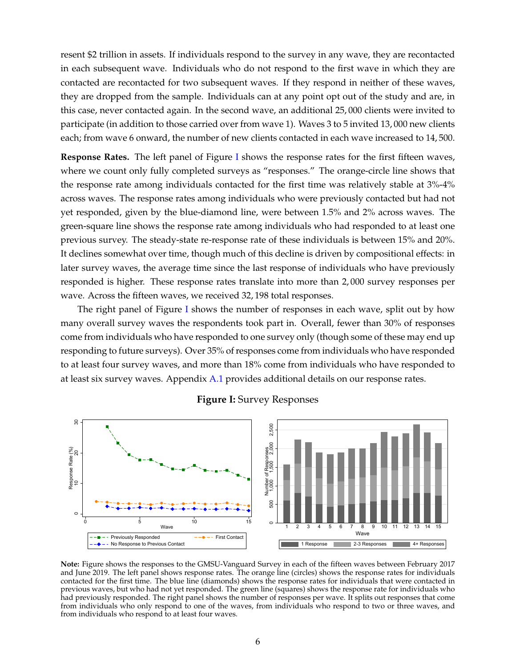resent \$2 trillion in assets. If individuals respond to the survey in any wave, they are recontacted in each subsequent wave. Individuals who do not respond to the first wave in which they are contacted are recontacted for two subsequent waves. If they respond in neither of these waves, they are dropped from the sample. Individuals can at any point opt out of the study and are, in this case, never contacted again. In the second wave, an additional 25, 000 clients were invited to participate (in addition to those carried over from wave 1). Waves 3 to 5 invited 13, 000 new clients each; from wave 6 onward, the number of new clients contacted in each wave increased to 14, 500.

**Response Rates.** The left panel of Figure [I](#page-7-0) shows the response rates for the first fifteen waves, where we count only fully completed surveys as "responses." The orange-circle line shows that the response rate among individuals contacted for the first time was relatively stable at 3%-4% across waves. The response rates among individuals who were previously contacted but had not yet responded, given by the blue-diamond line, were between 1.5% and 2% across waves. The green-square line shows the response rate among individuals who had responded to at least one previous survey. The steady-state re-response rate of these individuals is between 15% and 20%. It declines somewhat over time, though much of this decline is driven by compositional effects: in later survey waves, the average time since the last response of individuals who have previously responded is higher. These response rates translate into more than 2, 000 survey responses per wave. Across the fifteen waves, we received 32, 198 total responses.

The right panel of Figure [I](#page-7-0) shows the number of responses in each wave, split out by how many overall survey waves the respondents took part in. Overall, fewer than 30% of responses come from individuals who have responded to one survey only (though some of these may end up responding to future surveys). Over 35% of responses come from individuals who have responded to at least four survey waves, and more than 18% come from individuals who have responded to at least six survey waves. Appendix A.1 provides additional details on our response rates.

<span id="page-7-0"></span>

### **Figure I:** Survey Responses

**Note:** Figure shows the responses to the GMSU-Vanguard Survey in each of the fifteen waves between February 2017 and June 2019. The left panel shows response rates. The orange line (circles) shows the response rates for individuals contacted for the first time. The blue line (diamonds) shows the response rates for individuals that were contacted in previous waves, but who had not yet responded. The green line (squares) shows the response rate for individuals who had previously responded. The right panel shows the number of responses per wave. It splits out responses that come from individuals who only respond to one of the waves, from individuals who respond to two or three waves, and from individuals who respond to at least four waves.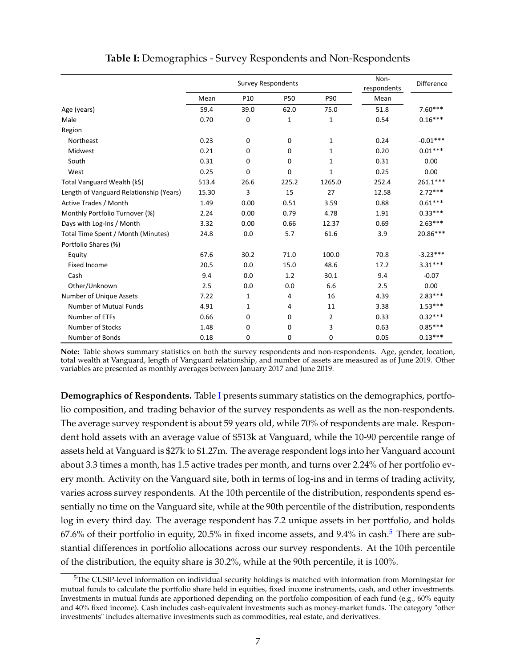<span id="page-8-0"></span>

|                                         |       | <b>Survey Respondents</b> | Non-<br>respondents | Difference   |       |            |
|-----------------------------------------|-------|---------------------------|---------------------|--------------|-------|------------|
|                                         | Mean  | P <sub>10</sub>           | <b>P50</b>          | P90          | Mean  |            |
| Age (years)                             | 59.4  | 39.0                      | 62.0                | 75.0         | 51.8  | $7.60***$  |
| Male                                    | 0.70  | 0                         | 1                   | $\mathbf{1}$ | 0.54  | $0.16***$  |
| Region                                  |       |                           |                     |              |       |            |
| Northeast                               | 0.23  | 0                         | $\mathbf 0$         | $\mathbf{1}$ | 0.24  | $-0.01***$ |
| Midwest                                 | 0.21  | 0                         | 0                   | $\mathbf{1}$ | 0.20  | $0.01***$  |
| South                                   | 0.31  | 0                         | 0                   | 1            | 0.31  | 0.00       |
| West                                    | 0.25  | 0                         | 0                   | $\mathbf{1}$ | 0.25  | 0.00       |
| Total Vanguard Wealth (k\$)             | 513.4 | 26.6                      | 225.2               | 1265.0       | 252.4 | $261.1***$ |
| Length of Vanguard Relationship (Years) | 15.30 | 3                         | 15                  | 27           | 12.58 | $2.72***$  |
| Active Trades / Month                   | 1.49  | 0.00                      | 0.51                | 3.59         | 0.88  | $0.61***$  |
| Monthly Portfolio Turnover (%)          | 2.24  | 0.00                      | 0.79                | 4.78         | 1.91  | $0.33***$  |
| Days with Log-Ins / Month               | 3.32  | 0.00                      | 0.66                | 12.37        | 0.69  | $2.63***$  |
| Total Time Spent / Month (Minutes)      | 24.8  | 0.0                       | 5.7                 | 61.6         | 3.9   | 20.86***   |
| Portfolio Shares (%)                    |       |                           |                     |              |       |            |
| Equity                                  | 67.6  | 30.2                      | 71.0                | 100.0        | 70.8  | $-3.23***$ |
| <b>Fixed Income</b>                     | 20.5  | 0.0                       | 15.0                | 48.6         | 17.2  | $3.31***$  |
| Cash                                    | 9.4   | 0.0                       | 1.2                 | 30.1         | 9.4   | $-0.07$    |
| Other/Unknown                           | 2.5   | 0.0                       | 0.0                 | 6.6          | 2.5   | 0.00       |
| Number of Unique Assets                 | 7.22  | 1                         | 4                   | 16           | 4.39  | $2.83***$  |
| <b>Number of Mutual Funds</b>           | 4.91  | 1                         | 4                   | 11           | 3.38  | $1.53***$  |
| Number of ETFs                          | 0.66  | 0                         | 0                   | 2            | 0.33  | $0.32***$  |
| Number of Stocks                        | 1.48  | 0                         | 0                   | 3            | 0.63  | $0.85***$  |
| Number of Bonds                         | 0.18  | 0                         | 0                   | 0            | 0.05  | $0.13***$  |

### **Table I:** Demographics - Survey Respondents and Non-Respondents

**Note:** Table shows summary statistics on both the survey respondents and non-respondents. Age, gender, location, total wealth at Vanguard, length of Vanguard relationship, and number of assets are measured as of June 2019. Other variables are presented as monthly averages between January 2017 and June 2019.

**Demographics of Respondents.** Table [I](#page-8-0) presents summary statistics on the demographics, portfolio composition, and trading behavior of the survey respondents as well as the non-respondents. The average survey respondent is about 59 years old, while 70% of respondents are male. Respondent hold assets with an average value of \$513k at Vanguard, while the 10-90 percentile range of assets held at Vanguard is \$27k to \$1.27m. The average respondent logs into her Vanguard account about 3.3 times a month, has 1.5 active trades per month, and turns over 2.24% of her portfolio every month. Activity on the Vanguard site, both in terms of log-ins and in terms of trading activity, varies across survey respondents. At the 10th percentile of the distribution, respondents spend essentially no time on the Vanguard site, while at the 90th percentile of the distribution, respondents log in every third day. The average respondent has 7.2 unique assets in her portfolio, and holds 67.6% of their portfolio in equity, 20.[5](#page-8-1)% in fixed income assets, and  $9.4\%$  in cash.<sup>5</sup> There are substantial differences in portfolio allocations across our survey respondents. At the 10th percentile of the distribution, the equity share is 30.2%, while at the 90th percentile, it is 100%.

<span id="page-8-1"></span> $5$ The CUSIP-level information on individual security holdings is matched with information from Morningstar for mutual funds to calculate the portfolio share held in equities, fixed income instruments, cash, and other investments. Investments in mutual funds are apportioned depending on the portfolio composition of each fund (e.g., 60% equity and 40% fixed income). Cash includes cash-equivalent investments such as money-market funds. The category "other investments" includes alternative investments such as commodities, real estate, and derivatives.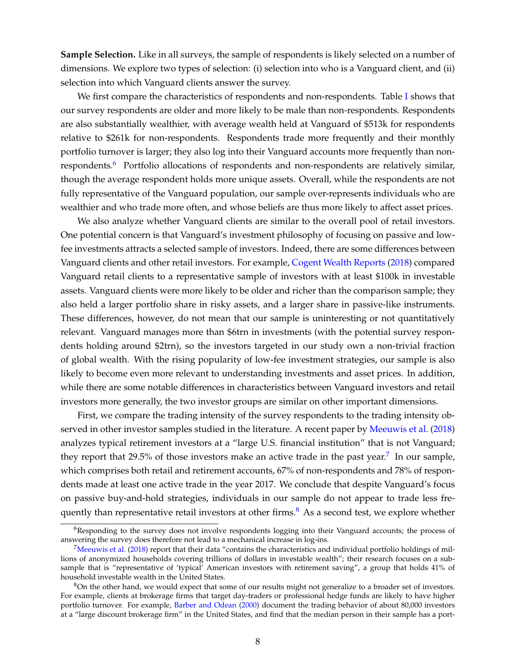**Sample Selection.** Like in all surveys, the sample of respondents is likely selected on a number of dimensions. We explore two types of selection: (i) selection into who is a Vanguard client, and (ii) selection into which Vanguard clients answer the survey.

We first compare the characteristics of respondents and non-respondents. Table [I](#page-8-0) shows that our survey respondents are older and more likely to be male than non-respondents. Respondents are also substantially wealthier, with average wealth held at Vanguard of \$513k for respondents relative to \$261k for non-respondents. Respondents trade more frequently and their monthly portfolio turnover is larger; they also log into their Vanguard accounts more frequently than non-respondents.<sup>[6](#page-9-0)</sup> Portfolio allocations of respondents and non-respondents are relatively similar, though the average respondent holds more unique assets. Overall, while the respondents are not fully representative of the Vanguard population, our sample over-represents individuals who are wealthier and who trade more often, and whose beliefs are thus more likely to affect asset prices.

We also analyze whether Vanguard clients are similar to the overall pool of retail investors. One potential concern is that Vanguard's investment philosophy of focusing on passive and lowfee investments attracts a selected sample of investors. Indeed, there are some differences between Vanguard clients and other retail investors. For example, [Cogent Wealth Reports](#page-36-17) [\(2018\)](#page-36-17) compared Vanguard retail clients to a representative sample of investors with at least \$100k in investable assets. Vanguard clients were more likely to be older and richer than the comparison sample; they also held a larger portfolio share in risky assets, and a larger share in passive-like instruments. These differences, however, do not mean that our sample is uninteresting or not quantitatively relevant. Vanguard manages more than \$6trn in investments (with the potential survey respondents holding around \$2trn), so the investors targeted in our study own a non-trivial fraction of global wealth. With the rising popularity of low-fee investment strategies, our sample is also likely to become even more relevant to understanding investments and asset prices. In addition, while there are some notable differences in characteristics between Vanguard investors and retail investors more generally, the two investor groups are similar on other important dimensions.

First, we compare the trading intensity of the survey respondents to the trading intensity observed in other investor samples studied in the literature. A recent paper by [Meeuwis et al.](#page-38-13) [\(2018\)](#page-38-13) analyzes typical retirement investors at a "large U.S. financial institution" that is not Vanguard; they report that 29.5% of those investors make an active trade in the past year.<sup>[7](#page-9-1)</sup> In our sample, which comprises both retail and retirement accounts, 67% of non-respondents and 78% of respondents made at least one active trade in the year 2017. We conclude that despite Vanguard's focus on passive buy-and-hold strategies, individuals in our sample do not appear to trade less frequently than representative retail investors at other firms. $8$  As a second test, we explore whether

<span id="page-9-0"></span><sup>&</sup>lt;sup>6</sup>Responding to the survey does not involve respondents logging into their Vanguard accounts; the process of answering the survey does therefore not lead to a mechanical increase in log-ins.

<span id="page-9-1"></span><sup>&</sup>lt;sup>7</sup>[Meeuwis et al.](#page-38-13) [\(2018\)](#page-38-13) report that their data "contains the characteristics and individual portfolio holdings of millions of anonymized households covering trillions of dollars in investable wealth"; their research focuses on a subsample that is "representative of 'typical' American investors with retirement saving", a group that holds 41% of household investable wealth in the United States.

<span id="page-9-2"></span> $8$ On the other hand, we would expect that some of our results might not generalize to a broader set of investors. For example, clients at brokerage firms that target day-traders or professional hedge funds are likely to have higher portfolio turnover. For example, [Barber and Odean](#page-35-12) [\(2000\)](#page-35-12) document the trading behavior of about 80,000 investors at a "large discount brokerage firm" in the United States, and find that the median person in their sample has a port-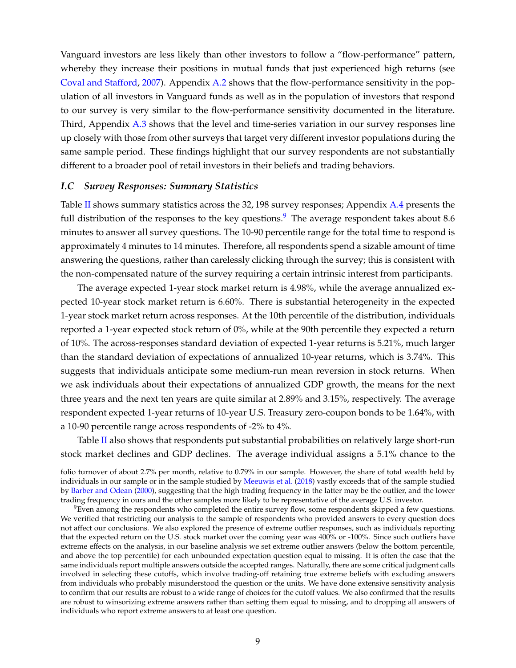Vanguard investors are less likely than other investors to follow a "flow-performance" pattern, whereby they increase their positions in mutual funds that just experienced high returns (see [Coval and Stafford,](#page-36-18) [2007\)](#page-36-18). Appendix A.2 shows that the flow-performance sensitivity in the population of all investors in Vanguard funds as well as in the population of investors that respond to our survey is very similar to the flow-performance sensitivity documented in the literature. Third, Appendix A.3 shows that the level and time-series variation in our survey responses line up closely with those from other surveys that target very different investor populations during the same sample period. These findings highlight that our survey respondents are not substantially different to a broader pool of retail investors in their beliefs and trading behaviors.

#### *I.C Survey Responses: Summary Statistics*

Table [II](#page-11-0) shows summary statistics across the 32, 198 survey responses; Appendix A.4 presents the full distribution of the responses to the key questions.<sup>[9](#page-10-0)</sup> The average respondent takes about 8.6 minutes to answer all survey questions. The 10-90 percentile range for the total time to respond is approximately 4 minutes to 14 minutes. Therefore, all respondents spend a sizable amount of time answering the questions, rather than carelessly clicking through the survey; this is consistent with the non-compensated nature of the survey requiring a certain intrinsic interest from participants.

The average expected 1-year stock market return is 4.98%, while the average annualized expected 10-year stock market return is 6.60%. There is substantial heterogeneity in the expected 1-year stock market return across responses. At the 10th percentile of the distribution, individuals reported a 1-year expected stock return of 0%, while at the 90th percentile they expected a return of 10%. The across-responses standard deviation of expected 1-year returns is 5.21%, much larger than the standard deviation of expectations of annualized 10-year returns, which is 3.74%. This suggests that individuals anticipate some medium-run mean reversion in stock returns. When we ask individuals about their expectations of annualized GDP growth, the means for the next three years and the next ten years are quite similar at 2.89% and 3.15%, respectively. The average respondent expected 1-year returns of 10-year U.S. Treasury zero-coupon bonds to be 1.64%, with a 10-90 percentile range across respondents of -2% to 4%.

Table [II](#page-11-0) also shows that respondents put substantial probabilities on relatively large short-run stock market declines and GDP declines. The average individual assigns a 5.1% chance to the

folio turnover of about 2.7% per month, relative to 0.79% in our sample. However, the share of total wealth held by individuals in our sample or in the sample studied by [Meeuwis et al.](#page-38-13) [\(2018\)](#page-38-13) vastly exceeds that of the sample studied by [Barber and Odean](#page-35-12) [\(2000\)](#page-35-12), suggesting that the high trading frequency in the latter may be the outlier, and the lower trading frequency in ours and the other samples more likely to be representative of the average U.S. investor.

<span id="page-10-0"></span> $9$ Even among the respondents who completed the entire survey flow, some respondents skipped a few questions. We verified that restricting our analysis to the sample of respondents who provided answers to every question does not affect our conclusions. We also explored the presence of extreme outlier responses, such as individuals reporting that the expected return on the U.S. stock market over the coming year was 400% or -100%. Since such outliers have extreme effects on the analysis, in our baseline analysis we set extreme outlier answers (below the bottom percentile, and above the top percentile) for each unbounded expectation question equal to missing. It is often the case that the same individuals report multiple answers outside the accepted ranges. Naturally, there are some critical judgment calls involved in selecting these cutoffs, which involve trading-off retaining true extreme beliefs with excluding answers from individuals who probably misunderstood the question or the units. We have done extensive sensitivity analysis to confirm that our results are robust to a wide range of choices for the cutoff values. We also confirmed that the results are robust to winsorizing extreme answers rather than setting them equal to missing, and to dropping all answers of individuals who report extreme answers to at least one question.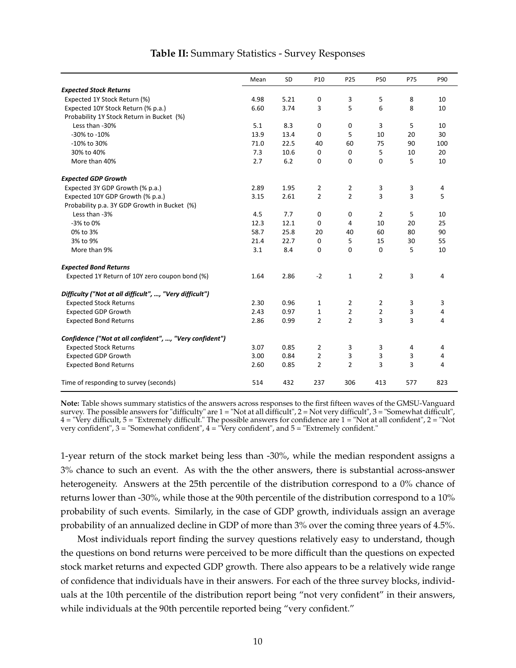<span id="page-11-0"></span>

|                                                         | Mean | SD   | P <sub>10</sub> | P25            | <b>P50</b>     | P75 | P90 |
|---------------------------------------------------------|------|------|-----------------|----------------|----------------|-----|-----|
| <b>Expected Stock Returns</b>                           |      |      |                 |                |                |     |     |
| Expected 1Y Stock Return (%)                            | 4.98 | 5.21 | 0               | 3              | 5              | 8   | 10  |
| Expected 10Y Stock Return (% p.a.)                      | 6.60 | 3.74 | 3               | 5              | 6              | 8   | 10  |
| Probability 1Y Stock Return in Bucket (%)               |      |      |                 |                |                |     |     |
| Less than -30%                                          | 5.1  | 8.3  | 0               | 0              | 3              | 5   | 10  |
| -30% to -10%                                            | 13.9 | 13.4 | 0               | 5              | 10             | 20  | 30  |
| -10% to 30%                                             | 71.0 | 22.5 | 40              | 60             | 75             | 90  | 100 |
| 30% to 40%                                              | 7.3  | 10.6 | 0               | 0              | 5              | 10  | 20  |
| More than 40%                                           | 2.7  | 6.2  | 0               | 0              | 0              | 5   | 10  |
| <b>Expected GDP Growth</b>                              |      |      |                 |                |                |     |     |
| Expected 3Y GDP Growth (% p.a.)                         | 2.89 | 1.95 | 2               | 2              | 3              | 3   | 4   |
| Expected 10Y GDP Growth (% p.a.)                        | 3.15 | 2.61 | $\overline{2}$  | $\overline{2}$ | 3              | 3   | 5   |
| Probability p.a. 3Y GDP Growth in Bucket (%)            |      |      |                 |                |                |     |     |
| Less than -3%                                           | 4.5  | 7.7  | 0               | 0              | $\overline{2}$ | 5   | 10  |
| -3% to 0%                                               | 12.3 | 12.1 | 0               | 4              | 10             | 20  | 25  |
| 0% to 3%                                                | 58.7 | 25.8 | 20              | 40             | 60             | 80  | 90  |
| 3% to 9%                                                | 21.4 | 22.7 | 0               | 5              | 15             | 30  | 55  |
| More than 9%                                            | 3.1  | 8.4  | 0               | 0              | 0              | 5   | 10  |
| <b>Expected Bond Returns</b>                            |      |      |                 |                |                |     |     |
| Expected 1Y Return of 10Y zero coupon bond (%)          | 1.64 | 2.86 | $-2$            | $\mathbf 1$    | 2              | 3   | 4   |
| Difficulty ("Not at all difficult", , "Very difficult") |      |      |                 |                |                |     |     |
| <b>Expected Stock Returns</b>                           | 2.30 | 0.96 | 1               | 2              | 2              | 3   | 3   |
| <b>Expected GDP Growth</b>                              | 2.43 | 0.97 | 1               | 2              | $\overline{2}$ | 3   | 4   |
| <b>Expected Bond Returns</b>                            | 2.86 | 0.99 | $\overline{2}$  | $\overline{2}$ | 3              | 3   | 4   |
| Confidence ("Not at all confident", , "Very confident") |      |      |                 |                |                |     |     |
| <b>Expected Stock Returns</b>                           | 3.07 | 0.85 | 2               | 3              | 3              | 4   | 4   |
| <b>Expected GDP Growth</b>                              | 3.00 | 0.84 | $\overline{2}$  | 3              | 3              | 3   | 4   |
| <b>Expected Bond Returns</b>                            | 2.60 | 0.85 | $\overline{2}$  | $\overline{2}$ | 3              | 3   | 4   |
| Time of responding to survey (seconds)                  | 514  | 432  | 237             | 306            | 413            | 577 | 823 |

### **Table II:** Summary Statistics - Survey Responses

**Note:** Table shows summary statistics of the answers across responses to the first fifteen waves of the GMSU-Vanguard survey. The possible answers for "difficulty" are 1 = "Not at all difficult", 2 = Not very difficult", 3 = "Somewhat difficult", 4 = "Very difficult, 5 = "Extremely difficult." The possible answers for confidence are 1 = "Not at all confident", 2 = "Not very confident", 3 = "Somewhat confident", 4 = "Very confident", and 5 = "Extremely confident."

1-year return of the stock market being less than -30%, while the median respondent assigns a 3% chance to such an event. As with the the other answers, there is substantial across-answer heterogeneity. Answers at the 25th percentile of the distribution correspond to a 0% chance of returns lower than -30%, while those at the 90th percentile of the distribution correspond to a 10% probability of such events. Similarly, in the case of GDP growth, individuals assign an average probability of an annualized decline in GDP of more than 3% over the coming three years of 4.5%.

<span id="page-11-1"></span>Most individuals report finding the survey questions relatively easy to understand, though the questions on bond returns were perceived to be more difficult than the questions on expected stock market returns and expected GDP growth. There also appears to be a relatively wide range of confidence that individuals have in their answers. For each of the three survey blocks, individuals at the 10th percentile of the distribution report being "not very confident" in their answers, while individuals at the 90th percentile reported being "very confident."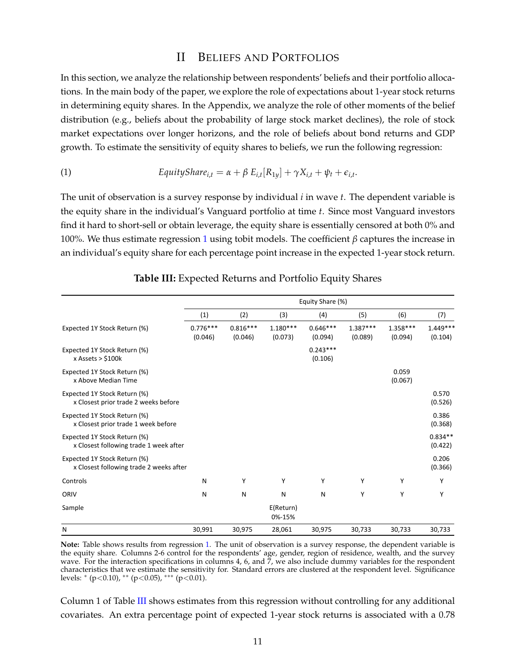## II BELIEFS AND PORTFOLIOS

In this section, we analyze the relationship between respondents' beliefs and their portfolio allocations. In the main body of the paper, we explore the role of expectations about 1-year stock returns in determining equity shares. In the Appendix, we analyze the role of other moments of the belief distribution (e.g., beliefs about the probability of large stock market declines), the role of stock market expectations over longer horizons, and the role of beliefs about bond returns and GDP growth. To estimate the sensitivity of equity shares to beliefs, we run the following regression:

<span id="page-12-0"></span>(1) 
$$
EquityShare_{i,t} = \alpha + \beta E_{i,t}[R_{1y}] + \gamma X_{i,t} + \psi_t + \epsilon_{i,t}.
$$

The unit of observation is a survey response by individual *i* in wave *t*. The dependent variable is the equity share in the individual's Vanguard portfolio at time *t*. Since most Vanguard investors find it hard to short-sell or obtain leverage, the equity share is essentially censored at both 0% and 100%. We thus estimate regression [1](#page-12-0) using tobit models. The coefficient *β* captures the increase in an individual's equity share for each percentage point increase in the expected 1-year stock return.

<span id="page-12-1"></span>

|                                                                         | Equity Share (%)      |                       |                       |                       |                       |                       |                       |  |  |
|-------------------------------------------------------------------------|-----------------------|-----------------------|-----------------------|-----------------------|-----------------------|-----------------------|-----------------------|--|--|
|                                                                         | (1)                   | (2)                   | (3)                   | (4)                   | (5)                   | (6)                   | (7)                   |  |  |
| Expected 1Y Stock Return (%)                                            | $0.776***$<br>(0.046) | $0.816***$<br>(0.046) | $1.180***$<br>(0.073) | $0.646***$<br>(0.094) | $1.387***$<br>(0.089) | $1.358***$<br>(0.094) | $1.449***$<br>(0.104) |  |  |
| Expected 1Y Stock Return (%)<br>x Assets $>$ \$100 $k$                  |                       |                       |                       | $0.243***$<br>(0.106) |                       |                       |                       |  |  |
| Expected 1Y Stock Return (%)<br>x Above Median Time                     |                       |                       |                       |                       |                       | 0.059<br>(0.067)      |                       |  |  |
| Expected 1Y Stock Return (%)<br>x Closest prior trade 2 weeks before    |                       |                       |                       |                       |                       |                       | 0.570<br>(0.526)      |  |  |
| Expected 1Y Stock Return (%)<br>x Closest prior trade 1 week before     |                       |                       |                       |                       |                       |                       | 0.386<br>(0.368)      |  |  |
| Expected 1Y Stock Return (%)<br>x Closest following trade 1 week after  |                       |                       |                       |                       |                       |                       | $0.834**$<br>(0.422)  |  |  |
| Expected 1Y Stock Return (%)<br>x Closest following trade 2 weeks after |                       |                       |                       |                       |                       |                       | 0.206<br>(0.366)      |  |  |
| Controls                                                                | N                     | Υ                     | Υ                     | Υ                     | Υ                     | Υ                     | Υ                     |  |  |
| ORIV                                                                    | N                     | N                     | N                     | N                     | Υ                     | Y                     | Y                     |  |  |
| Sample                                                                  |                       |                       | E(Return)<br>0%-15%   |                       |                       |                       |                       |  |  |
| N                                                                       | 30,991                | 30,975                | 28,061                | 30,975                | 30,733                | 30,733                | 30,733                |  |  |

### **Table III:** Expected Returns and Portfolio Equity Shares

**Note:** Table shows results from regression [1.](#page-12-0) The unit of observation is a survey response, the dependent variable is the equity share. Columns 2-6 control for the respondents' age, gender, region of residence, wealth, and the survey wave. For the interaction specifications in columns 4, 6, and  $\overline{7}$ , we also include dummy variables for the respondent characteristics that we estimate the sensitivity for. Standard errors are clustered at the respondent level. Significance levels: <sup>∗</sup> (p<0.10), ∗∗ (p<0.05), ∗∗∗ (p<0.01).

Column 1 of Table [III](#page-12-1) shows estimates from this regression without controlling for any additional covariates. An extra percentage point of expected 1-year stock returns is associated with a 0.78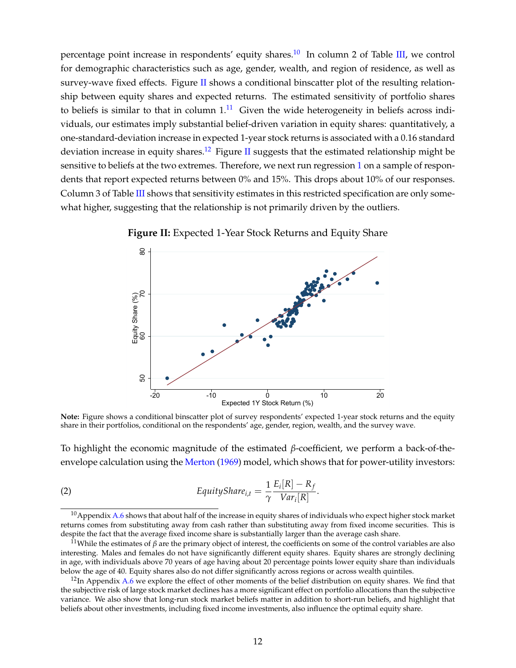percentage point increase in respondents' equity shares.<sup>[10](#page-13-0)</sup> In column 2 of Table [III,](#page-12-1) we control for demographic characteristics such as age, gender, wealth, and region of residence, as well as survey-wave fixed effects. Figure [II](#page-13-1) shows a conditional binscatter plot of the resulting relationship between equity shares and expected returns. The estimated sensitivity of portfolio shares to beliefs is similar to that in column  $1<sup>11</sup>$  $1<sup>11</sup>$  $1<sup>11</sup>$  Given the wide heterogeneity in beliefs across individuals, our estimates imply substantial belief-driven variation in equity shares: quantitatively, a one-standard-deviation increase in expected 1-year stock returns is associated with a 0.16 standard deviation increase in equity shares.<sup>[12](#page-13-3)</sup> Figure [II](#page-13-1) suggests that the estimated relationship might be sensitive to beliefs at the two extremes. Therefore, we next run regression [1](#page-12-0) on a sample of respondents that report expected returns between 0% and 15%. This drops about 10% of our responses. Column 3 of Table [III](#page-12-1) shows that sensitivity estimates in this restricted specification are only somewhat higher, suggesting that the relationship is not primarily driven by the outliers.



<span id="page-13-1"></span>**Figure II:** Expected 1-Year Stock Returns and Equity Share

Note: Figure shows a conditional binscatter plot of survey respondents' expected 1-year stock returns and the equity share in their portfolios, conditional on the respondents' age, gender, region, wealth, and the survey wave.

To highlight the economic magnitude of the estimated *β*-coefficient, we perform a back-of-theenvelope calculation using the [Merton](#page-38-0) [\(1969\)](#page-38-0) model, which shows that for power-utility investors:

<span id="page-13-4"></span>(2) 
$$
EquityShare_{i,t} = \frac{1}{\gamma} \frac{E_i[R] - R_f}{Var_i[R]}.
$$

<span id="page-13-0"></span> $10$ Appendix A.6 shows that about half of the increase in equity shares of individuals who expect higher stock market returns comes from substituting away from cash rather than substituting away from fixed income securities. This is despite the fact that the average fixed income share is substantially larger than the average cash share.

<span id="page-13-2"></span><sup>&</sup>lt;sup>11</sup>While the estimates of *β* are the primary object of interest, the coefficients on some of the control variables are also interesting. Males and females do not have significantly different equity shares. Equity shares are strongly declining in age, with individuals above 70 years of age having about 20 percentage points lower equity share than individuals below the age of 40. Equity shares also do not differ significantly across regions or across wealth quintiles.

<span id="page-13-3"></span> $12$ In Appendix A.6 we explore the effect of other moments of the belief distribution on equity shares. We find that the subjective risk of large stock market declines has a more significant effect on portfolio allocations than the subjective variance. We also show that long-run stock market beliefs matter in addition to short-run beliefs, and highlight that beliefs about other investments, including fixed income investments, also influence the optimal equity share.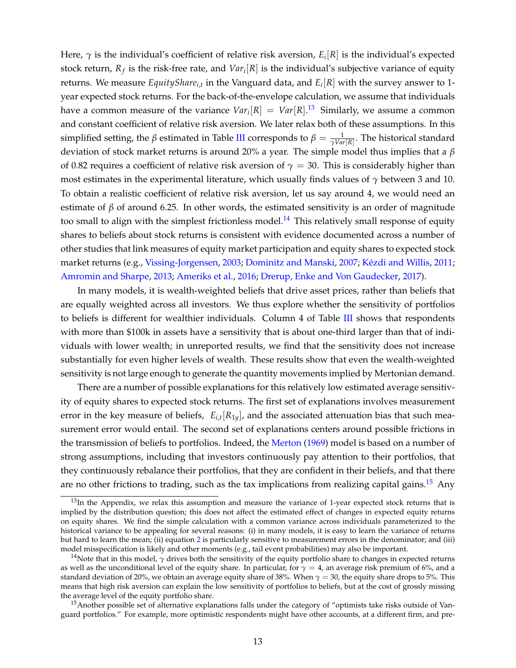Here, *γ* is the individual's coefficient of relative risk aversion, *E<sup>i</sup>* [*R*] is the individual's expected stock return,  $R_f$  is the risk-free rate, and  $Var_i[R]$  is the individual's subjective variance of equity returns. We measure *EquitySharei*,*<sup>t</sup>* in the Vanguard data, and *E<sup>i</sup>* [*R*] with the survey answer to 1 year expected stock returns. For the back-of-the-envelope calculation, we assume that individuals have a common measure of the variance  $\mathit{Var}_i[R] \ = \ \mathit{Var}[R].^{13} \ \ \text{Similarly, we assume a common}$  $\mathit{Var}_i[R] \ = \ \mathit{Var}[R].^{13} \ \ \text{Similarly, we assume a common}$  $\mathit{Var}_i[R] \ = \ \mathit{Var}[R].^{13} \ \ \text{Similarly, we assume a common}$ and constant coefficient of relative risk aversion. We later relax both of these assumptions. In this simplified setting, the *β* estimated in Table [III](#page-12-1) corresponds to  $β = \frac{1}{γVar[R]}$ . The historical standard deviation of stock market returns is around 20% a year. The simple model thus implies that a *β* of 0.82 requires a coefficient of relative risk aversion of  $\gamma = 30$ . This is considerably higher than most estimates in the experimental literature, which usually finds values of *γ* between 3 and 10. To obtain a realistic coefficient of relative risk aversion, let us say around 4, we would need an estimate of  $\beta$  of around 6.25. In other words, the estimated sensitivity is an order of magnitude too small to align with the simplest frictionless model.<sup>[14](#page-14-1)</sup> This relatively small response of equity shares to beliefs about stock returns is consistent with evidence documented across a number of other studies that link measures of equity market participation and equity shares to expected stock market returns (e.g., [Vissing-Jorgensen,](#page-38-1) [2003;](#page-38-1) [Dominitz and Manski,](#page-37-0) [2007;](#page-37-0) [Kézdi and Willis,](#page-38-2) [2011;](#page-38-2) [Amromin and Sharpe,](#page-35-0) [2013;](#page-35-0) [Ameriks et al.,](#page-35-1) [2016;](#page-35-1) [Drerup, Enke and Von Gaudecker,](#page-37-2) [2017\)](#page-37-2).

In many models, it is wealth-weighted beliefs that drive asset prices, rather than beliefs that are equally weighted across all investors. We thus explore whether the sensitivity of portfolios to beliefs is different for wealthier individuals. Column 4 of Table [III](#page-12-1) shows that respondents with more than \$100k in assets have a sensitivity that is about one-third larger than that of individuals with lower wealth; in unreported results, we find that the sensitivity does not increase substantially for even higher levels of wealth. These results show that even the wealth-weighted sensitivity is not large enough to generate the quantity movements implied by Mertonian demand.

There are a number of possible explanations for this relatively low estimated average sensitivity of equity shares to expected stock returns. The first set of explanations involves measurement error in the key measure of beliefs, *Ei*,*<sup>t</sup>* [*R*1*y*], and the associated attenuation bias that such measurement error would entail. The second set of explanations centers around possible frictions in the transmission of beliefs to portfolios. Indeed, the [Merton](#page-38-0) [\(1969\)](#page-38-0) model is based on a number of strong assumptions, including that investors continuously pay attention to their portfolios, that they continuously rebalance their portfolios, that they are confident in their beliefs, and that there are no other frictions to trading, such as the tax implications from realizing capital gains.<sup>[15](#page-14-2)</sup> Any

<span id="page-14-0"></span> $13$ In the Appendix, we relax this assumption and measure the variance of 1-year expected stock returns that is implied by the distribution question; this does not affect the estimated effect of changes in expected equity returns on equity shares. We find the simple calculation with a common variance across individuals parameterized to the historical variance to be appealing for several reasons: (i) in many models, it is easy to learn the variance of returns but hard to learn the mean; (ii) equation [2](#page-13-4) is particularly sensitive to measurement errors in the denominator; and (iii) model misspecification is likely and other moments (e.g., tail event probabilities) may also be important.

<span id="page-14-1"></span><sup>&</sup>lt;sup>14</sup>Note that in this model,  $\gamma$  drives both the sensitivity of the equity portfolio share to changes in expected returns as well as the unconditional level of the equity share. In particular, for  $\gamma = 4$ , an average risk premium of 6%, and a standard deviation of 20%, we obtain an average equity share of 38%. When  $\gamma = 30$ , the equity share drops to 5%. This means that high risk aversion can explain the low sensitivity of portfolios to beliefs, but at the cost of grossly missing the average level of the equity portfolio share.

<span id="page-14-2"></span><sup>&</sup>lt;sup>15</sup>Another possible set of alternative explanations falls under the category of "optimists take risks outside of Vanguard portfolios." For example, more optimistic respondents might have other accounts, at a different firm, and pre-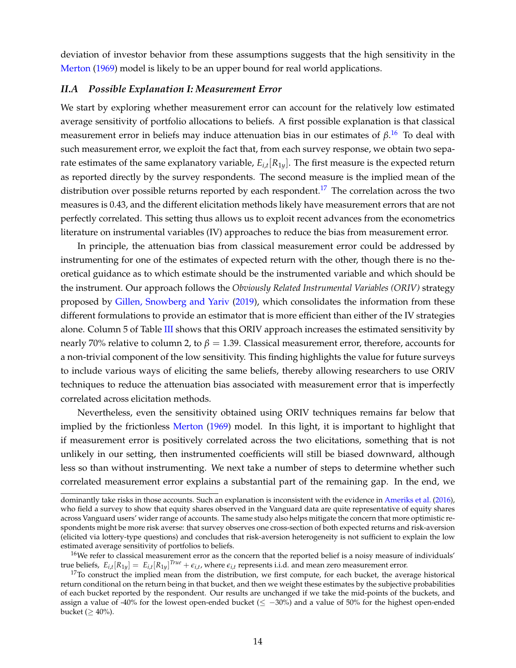deviation of investor behavior from these assumptions suggests that the high sensitivity in the [Merton](#page-38-0) [\(1969\)](#page-38-0) model is likely to be an upper bound for real world applications.

#### *II.A Possible Explanation I: Measurement Error*

We start by exploring whether measurement error can account for the relatively low estimated average sensitivity of portfolio allocations to beliefs. A first possible explanation is that classical measurement error in beliefs may induce attenuation bias in our estimates of *β*. [16](#page-15-0) To deal with such measurement error, we exploit the fact that, from each survey response, we obtain two separate estimates of the same explanatory variable, *Ei*,*<sup>t</sup>* [*R*1*y*]. The first measure is the expected return as reported directly by the survey respondents. The second measure is the implied mean of the distribution over possible returns reported by each respondent.<sup>[17](#page-15-1)</sup> The correlation across the two measures is 0.43, and the different elicitation methods likely have measurement errors that are not perfectly correlated. This setting thus allows us to exploit recent advances from the econometrics literature on instrumental variables (IV) approaches to reduce the bias from measurement error.

In principle, the attenuation bias from classical measurement error could be addressed by instrumenting for one of the estimates of expected return with the other, though there is no theoretical guidance as to which estimate should be the instrumented variable and which should be the instrument. Our approach follows the *Obviously Related Instrumental Variables (ORIV)* strategy proposed by [Gillen, Snowberg and Yariv](#page-37-13) [\(2019\)](#page-37-13), which consolidates the information from these different formulations to provide an estimator that is more efficient than either of the IV strategies alone. Column 5 of Table [III](#page-12-1) shows that this ORIV approach increases the estimated sensitivity by nearly 70% relative to column 2, to *β* = 1.39. Classical measurement error, therefore, accounts for a non-trivial component of the low sensitivity. This finding highlights the value for future surveys to include various ways of eliciting the same beliefs, thereby allowing researchers to use ORIV techniques to reduce the attenuation bias associated with measurement error that is imperfectly correlated across elicitation methods.

Nevertheless, even the sensitivity obtained using ORIV techniques remains far below that implied by the frictionless [Merton](#page-38-0) [\(1969\)](#page-38-0) model. In this light, it is important to highlight that if measurement error is positively correlated across the two elicitations, something that is not unlikely in our setting, then instrumented coefficients will still be biased downward, although less so than without instrumenting. We next take a number of steps to determine whether such correlated measurement error explains a substantial part of the remaining gap. In the end, we

dominantly take risks in those accounts. Such an explanation is inconsistent with the evidence in [Ameriks et al.](#page-35-1) [\(2016\)](#page-35-1), who field a survey to show that equity shares observed in the Vanguard data are quite representative of equity shares across Vanguard users' wider range of accounts. The same study also helps mitigate the concern that more optimistic respondents might be more risk averse: that survey observes one cross-section of both expected returns and risk-aversion (elicited via lottery-type questions) and concludes that risk-aversion heterogeneity is not sufficient to explain the low estimated average sensitivity of portfolios to beliefs.

<span id="page-15-0"></span><sup>&</sup>lt;sup>16</sup>We refer to classical measurement error as the concern that the reported belief is a noisy measure of individuals' true beliefs,  $E_{i,t}[R_{1y}] = E_{i,t}[R_{1y}]^{True} + \epsilon_{i,t}$ , where  $\epsilon_{i,t}$  represents i.i.d. and mean zero measurement error.

<span id="page-15-1"></span> $17$ To construct the implied mean from the distribution, we first compute, for each bucket, the average historical return conditional on the return being in that bucket, and then we weight these estimates by the subjective probabilities of each bucket reported by the respondent. Our results are unchanged if we take the mid-points of the buckets, and assign a value of -40% for the lowest open-ended bucket ( $\leq -30\%$ ) and a value of 50% for the highest open-ended bucket ( $\geq 40\%$ ).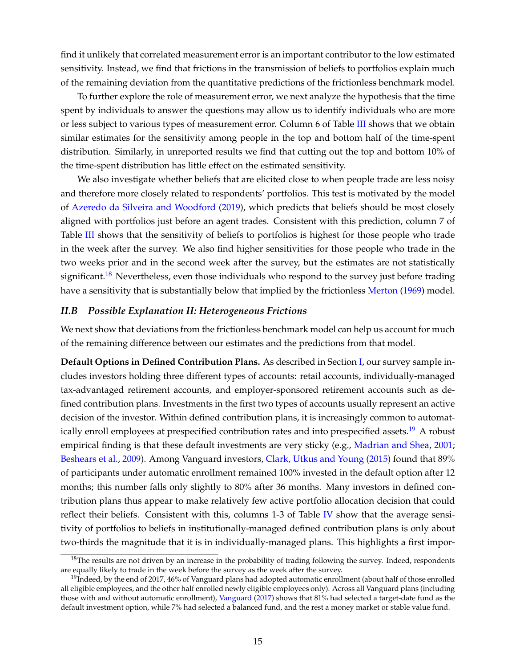find it unlikely that correlated measurement error is an important contributor to the low estimated sensitivity. Instead, we find that frictions in the transmission of beliefs to portfolios explain much of the remaining deviation from the quantitative predictions of the frictionless benchmark model.

To further explore the role of measurement error, we next analyze the hypothesis that the time spent by individuals to answer the questions may allow us to identify individuals who are more or less subject to various types of measurement error. Column 6 of Table [III](#page-12-1) shows that we obtain similar estimates for the sensitivity among people in the top and bottom half of the time-spent distribution. Similarly, in unreported results we find that cutting out the top and bottom 10% of the time-spent distribution has little effect on the estimated sensitivity.

We also investigate whether beliefs that are elicited close to when people trade are less noisy and therefore more closely related to respondents' portfolios. This test is motivated by the model of [Azeredo da Silveira and Woodford](#page-35-13) [\(2019\)](#page-35-13), which predicts that beliefs should be most closely aligned with portfolios just before an agent trades. Consistent with this prediction, column 7 of Table [III](#page-12-1) shows that the sensitivity of beliefs to portfolios is highest for those people who trade in the week after the survey. We also find higher sensitivities for those people who trade in the two weeks prior and in the second week after the survey, but the estimates are not statistically significant.<sup>[18](#page-16-0)</sup> Nevertheless, even those individuals who respond to the survey just before trading have a sensitivity that is substantially below that implied by the frictionless [Merton](#page-38-0) [\(1969\)](#page-38-0) model.

#### *II.B Possible Explanation II: Heterogeneous Frictions*

We next show that deviations from the frictionless benchmark model can help us account for much of the remaining difference between our estimates and the predictions from that model.

**Default Options in Defined Contribution Plans.** As described in Section [I,](#page-5-0) our survey sample includes investors holding three different types of accounts: retail accounts, individually-managed tax-advantaged retirement accounts, and employer-sponsored retirement accounts such as defined contribution plans. Investments in the first two types of accounts usually represent an active decision of the investor. Within defined contribution plans, it is increasingly common to automat-ically enroll employees at prespecified contribution rates and into prespecified assets.<sup>[19](#page-16-1)</sup> A robust empirical finding is that these default investments are very sticky (e.g., [Madrian and Shea,](#page-38-14) [2001;](#page-38-14) [Beshears et al.,](#page-36-19) [2009\)](#page-36-19). Among Vanguard investors, [Clark, Utkus and Young](#page-36-20) [\(2015\)](#page-36-20) found that 89% of participants under automatic enrollment remained 100% invested in the default option after 12 months; this number falls only slightly to 80% after 36 months. Many investors in defined contribution plans thus appear to make relatively few active portfolio allocation decision that could reflect their beliefs. Consistent with this, columns 1-3 of Table [IV](#page-18-0) show that the average sensitivity of portfolios to beliefs in institutionally-managed defined contribution plans is only about two-thirds the magnitude that it is in individually-managed plans. This highlights a first impor-

<span id="page-16-0"></span> $18$ The results are not driven by an increase in the probability of trading following the survey. Indeed, respondents are equally likely to trade in the week before the survey as the week after the survey.

<span id="page-16-1"></span><sup>&</sup>lt;sup>19</sup>Indeed, by the end of 2017, 46% of Vanguard plans had adopted automatic enrollment (about half of those enrolled all eligible employees, and the other half enrolled newly eligible employees only). Across all Vanguard plans (including those with and without automatic enrollment), [Vanguard](#page-38-15) [\(2017\)](#page-38-15) shows that 81% had selected a target-date fund as the default investment option, while 7% had selected a balanced fund, and the rest a money market or stable value fund.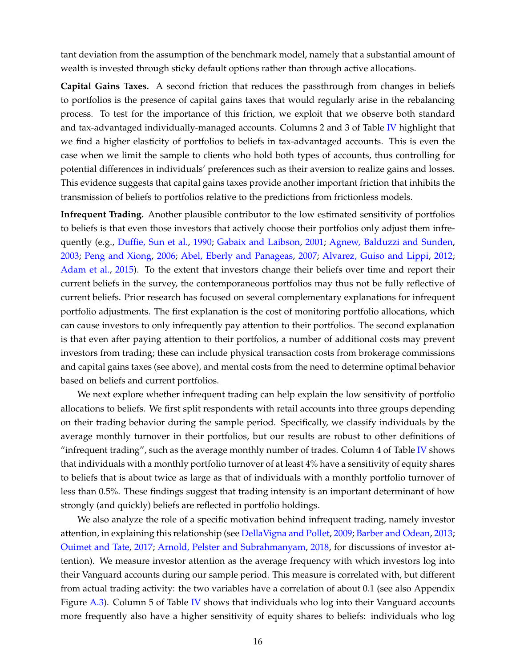tant deviation from the assumption of the benchmark model, namely that a substantial amount of wealth is invested through sticky default options rather than through active allocations.

**Capital Gains Taxes.** A second friction that reduces the passthrough from changes in beliefs to portfolios is the presence of capital gains taxes that would regularly arise in the rebalancing process. To test for the importance of this friction, we exploit that we observe both standard and tax-advantaged individually-managed accounts. Columns 2 and 3 of Table [IV](#page-18-0) highlight that we find a higher elasticity of portfolios to beliefs in tax-advantaged accounts. This is even the case when we limit the sample to clients who hold both types of accounts, thus controlling for potential differences in individuals' preferences such as their aversion to realize gains and losses. This evidence suggests that capital gains taxes provide another important friction that inhibits the transmission of beliefs to portfolios relative to the predictions from frictionless models.

**Infrequent Trading.** Another plausible contributor to the low estimated sensitivity of portfolios to beliefs is that even those investors that actively choose their portfolios only adjust them infrequently (e.g., [Duffie, Sun et al.,](#page-37-14) [1990;](#page-37-14) [Gabaix and Laibson,](#page-37-15) [2001;](#page-37-15) [Agnew, Balduzzi and Sunden,](#page-35-14) [2003;](#page-35-14) [Peng and Xiong,](#page-38-16) [2006;](#page-38-16) [Abel, Eberly and Panageas,](#page-35-15) [2007;](#page-35-15) [Alvarez, Guiso and Lippi,](#page-35-16) [2012;](#page-35-16) [Adam et al.,](#page-35-17) [2015\)](#page-35-17). To the extent that investors change their beliefs over time and report their current beliefs in the survey, the contemporaneous portfolios may thus not be fully reflective of current beliefs. Prior research has focused on several complementary explanations for infrequent portfolio adjustments. The first explanation is the cost of monitoring portfolio allocations, which can cause investors to only infrequently pay attention to their portfolios. The second explanation is that even after paying attention to their portfolios, a number of additional costs may prevent investors from trading; these can include physical transaction costs from brokerage commissions and capital gains taxes (see above), and mental costs from the need to determine optimal behavior based on beliefs and current portfolios.

We next explore whether infrequent trading can help explain the low sensitivity of portfolio allocations to beliefs. We first split respondents with retail accounts into three groups depending on their trading behavior during the sample period. Specifically, we classify individuals by the average monthly turnover in their portfolios, but our results are robust to other definitions of "infrequent trading", such as the average monthly number of trades. Column  $4$  of Table [IV](#page-18-0) shows that individuals with a monthly portfolio turnover of at least 4% have a sensitivity of equity shares to beliefs that is about twice as large as that of individuals with a monthly portfolio turnover of less than 0.5%. These findings suggest that trading intensity is an important determinant of how strongly (and quickly) beliefs are reflected in portfolio holdings.

We also analyze the role of a specific motivation behind infrequent trading, namely investor attention, in explaining this relationship (see [DellaVigna and Pollet,](#page-36-21) [2009;](#page-36-21) [Barber and Odean,](#page-35-18) [2013;](#page-35-18) [Ouimet and Tate,](#page-38-17) [2017;](#page-38-17) [Arnold, Pelster and Subrahmanyam,](#page-35-19) [2018,](#page-35-19) for discussions of investor attention). We measure investor attention as the average frequency with which investors log into their Vanguard accounts during our sample period. This measure is correlated with, but different from actual trading activity: the two variables have a correlation of about 0.1 (see also Appendix Figure A.3). Column 5 of Table [IV](#page-18-0) shows that individuals who log into their Vanguard accounts more frequently also have a higher sensitivity of equity shares to beliefs: individuals who log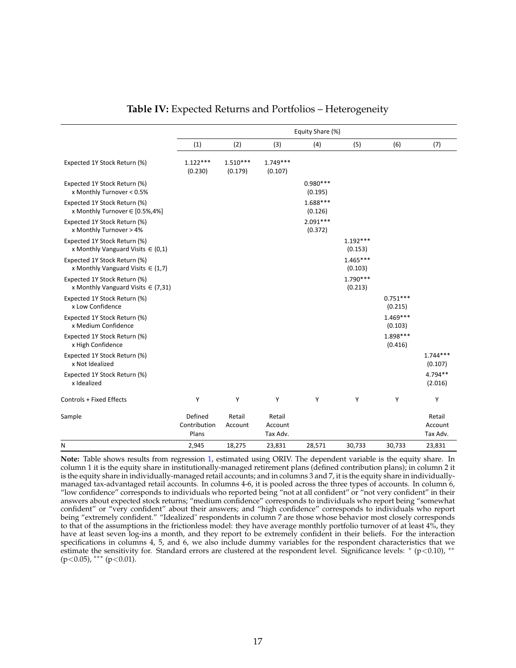<span id="page-18-0"></span>

|                                                                        |                                  |                       |                               | Equity Share (%)      |                       |                       |                               |
|------------------------------------------------------------------------|----------------------------------|-----------------------|-------------------------------|-----------------------|-----------------------|-----------------------|-------------------------------|
|                                                                        | (1)                              | (2)                   | (3)                           | (4)                   | (5)                   | (6)                   | (7)                           |
| Expected 1Y Stock Return (%)                                           | $1.122***$<br>(0.230)            | $1.510***$<br>(0.179) | $1.749***$<br>(0.107)         |                       |                       |                       |                               |
| Expected 1Y Stock Return (%)<br>x Monthly Turnover < 0.5%              |                                  |                       |                               | $0.980***$<br>(0.195) |                       |                       |                               |
| Expected 1Y Stock Return (%)<br>x Monthly Turnover ∈ [0.5%,4%]         |                                  |                       |                               | $1.688***$<br>(0.126) |                       |                       |                               |
| Expected 1Y Stock Return (%)<br>x Monthly Turnover > 4%                |                                  |                       |                               | $2.091***$<br>(0.372) |                       |                       |                               |
| Expected 1Y Stock Return (%)<br>x Monthly Vanguard Visits $\in (0,1)$  |                                  |                       |                               |                       | $1.192***$<br>(0.153) |                       |                               |
| Expected 1Y Stock Return (%)<br>x Monthly Vanguard Visits $\in$ (1,7)  |                                  |                       |                               |                       | $1.465***$<br>(0.103) |                       |                               |
| Expected 1Y Stock Return (%)<br>x Monthly Vanguard Visits $\in$ (7,31) |                                  |                       |                               |                       | $1.790***$<br>(0.213) |                       |                               |
| Expected 1Y Stock Return (%)<br>x Low Confidence                       |                                  |                       |                               |                       |                       | $0.751***$<br>(0.215) |                               |
| Expected 1Y Stock Return (%)<br>x Medium Confidence                    |                                  |                       |                               |                       |                       | $1.469***$<br>(0.103) |                               |
| Expected 1Y Stock Return (%)<br>x High Confidence                      |                                  |                       |                               |                       |                       | 1.898 ***<br>(0.416)  |                               |
| Expected 1Y Stock Return (%)<br>x Not Idealized                        |                                  |                       |                               |                       |                       |                       | $1.744***$<br>(0.107)         |
| Expected 1Y Stock Return (%)<br>x Idealized                            |                                  |                       |                               |                       |                       |                       | $4.794**$<br>(2.016)          |
| Controls + Fixed Effects                                               | Y                                | Y                     | Y                             | Y                     | Υ                     | Υ                     | Y                             |
| Sample                                                                 | Defined<br>Contribution<br>Plans | Retail<br>Account     | Retail<br>Account<br>Tax Adv. |                       |                       |                       | Retail<br>Account<br>Tax Adv. |
| N                                                                      | 2,945                            | 18,275                | 23,831                        | 28,571                | 30,733                | 30,733                | 23,831                        |

#### **Table IV:** Expected Returns and Portfolios – Heterogeneity

**Note:** Table shows results from regression [1,](#page-12-0) estimated using ORIV. The dependent variable is the equity share. In column 1 it is the equity share in institutionally-managed retirement plans (defined contribution plans); in column 2 it is the equity share in individually-managed retail accounts; and in columns 3 and 7, it is the equity share in individuallymanaged tax-advantaged retail accounts. In columns 4-6, it is pooled across the three types of accounts. In column 6, "low confidence" corresponds to individuals who reported being "not at all confident" or "not very confident" in their answers about expected stock returns; "medium confidence" corresponds to individuals who report being "somewhat confident" or "very confident" about their answers; and "high confidence" corresponds to individuals who report being "extremely confident." "Idealized" respondents in column 7 are those whose behavior most closely corresponds to that of the assumptions in the frictionless model: they have average monthly portfolio turnover of at least 4%, they have at least seven log-ins a month, and they report to be extremely confident in their beliefs. For the interaction specifications in columns 4, 5, and 6, we also include dummy variables for the respondent characteristics that we estimate the sensitivity for. Standard errors are clustered at the respondent level. Significance levels: \* (p<0.10), \*\*  $(p<0.05)$ , \*\*\*  $(p<0.01)$ .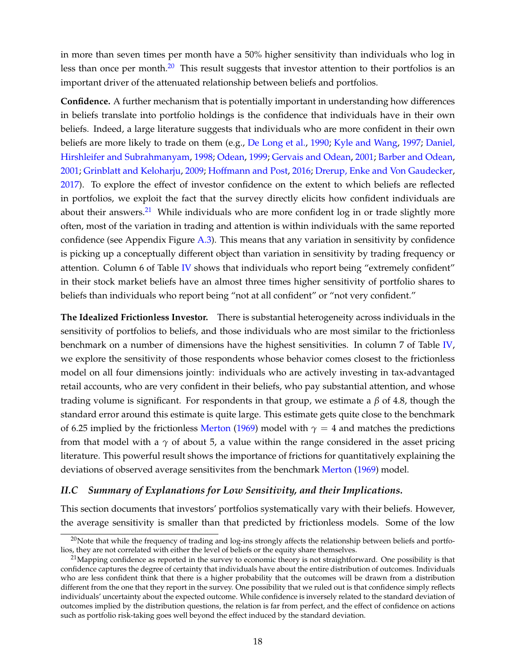in more than seven times per month have a 50% higher sensitivity than individuals who log in less than once per month.<sup>[20](#page-19-0)</sup> This result suggests that investor attention to their portfolios is an important driver of the attenuated relationship between beliefs and portfolios.

**Confidence.** A further mechanism that is potentially important in understanding how differences in beliefs translate into portfolio holdings is the confidence that individuals have in their own beliefs. Indeed, a large literature suggests that individuals who are more confident in their own beliefs are more likely to trade on them (e.g., [De Long et al.,](#page-37-16) [1990;](#page-37-16) [Kyle and Wang,](#page-38-18) [1997;](#page-38-18) [Daniel,](#page-36-22) [Hirshleifer and Subrahmanyam,](#page-36-22) [1998;](#page-36-22) [Odean,](#page-38-19) [1999;](#page-38-19) [Gervais and Odean,](#page-37-17) [2001;](#page-37-17) [Barber and Odean,](#page-35-20) [2001;](#page-35-20) [Grinblatt and Keloharju,](#page-37-18) [2009;](#page-37-18) [Hoffmann and Post,](#page-37-19) [2016;](#page-37-19) [Drerup, Enke and Von Gaudecker,](#page-37-2) [2017\)](#page-37-2). To explore the effect of investor confidence on the extent to which beliefs are reflected in portfolios, we exploit the fact that the survey directly elicits how confident individuals are about their answers.<sup>[21](#page-19-1)</sup> While individuals who are more confident log in or trade slightly more often, most of the variation in trading and attention is within individuals with the same reported confidence (see Appendix Figure A.3). This means that any variation in sensitivity by confidence is picking up a conceptually different object than variation in sensitivity by trading frequency or attention. Column 6 of Table [IV](#page-18-0) shows that individuals who report being "extremely confident" in their stock market beliefs have an almost three times higher sensitivity of portfolio shares to beliefs than individuals who report being "not at all confident" or "not very confident."

**The Idealized Frictionless Investor.** There is substantial heterogeneity across individuals in the sensitivity of portfolios to beliefs, and those individuals who are most similar to the frictionless benchmark on a number of dimensions have the highest sensitivities. In column 7 of Table [IV,](#page-18-0) we explore the sensitivity of those respondents whose behavior comes closest to the frictionless model on all four dimensions jointly: individuals who are actively investing in tax-advantaged retail accounts, who are very confident in their beliefs, who pay substantial attention, and whose trading volume is significant. For respondents in that group, we estimate a *β* of 4.8, though the standard error around this estimate is quite large. This estimate gets quite close to the benchmark of 6.25 implied by the frictionless [Merton](#page-38-0) [\(1969\)](#page-38-0) model with  $\gamma = 4$  and matches the predictions from that model with a  $\gamma$  of about 5, a value within the range considered in the asset pricing literature. This powerful result shows the importance of frictions for quantitatively explaining the deviations of observed average sensitivites from the benchmark [Merton](#page-38-0) [\(1969\)](#page-38-0) model.

### *II.C Summary of Explanations for Low Sensitivity, and their Implications.*

This section documents that investors' portfolios systematically vary with their beliefs. However, the average sensitivity is smaller than that predicted by frictionless models. Some of the low

<span id="page-19-0"></span> $^{20}$ Note that while the frequency of trading and log-ins strongly affects the relationship between beliefs and portfolios, they are not correlated with either the level of beliefs or the equity share themselves.

<span id="page-19-1"></span> $^{21}$ Mapping confidence as reported in the survey to economic theory is not straightforward. One possibility is that confidence captures the degree of certainty that individuals have about the entire distribution of outcomes. Individuals who are less confident think that there is a higher probability that the outcomes will be drawn from a distribution different from the one that they report in the survey. One possibility that we ruled out is that confidence simply reflects individuals' uncertainty about the expected outcome. While confidence is inversely related to the standard deviation of outcomes implied by the distribution questions, the relation is far from perfect, and the effect of confidence on actions such as portfolio risk-taking goes well beyond the effect induced by the standard deviation.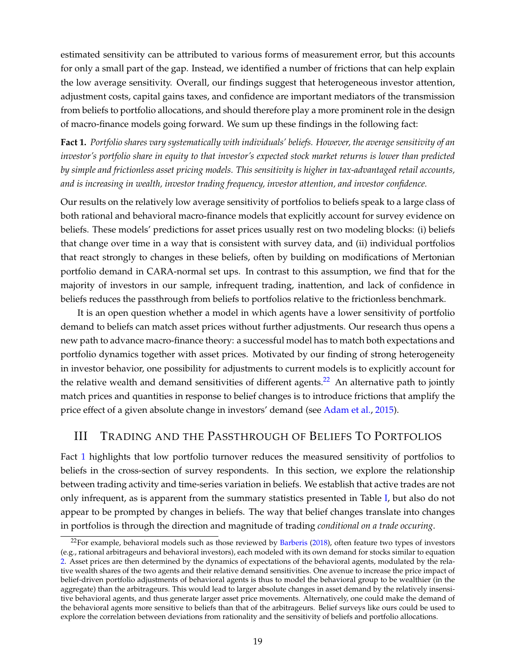estimated sensitivity can be attributed to various forms of measurement error, but this accounts for only a small part of the gap. Instead, we identified a number of frictions that can help explain the low average sensitivity. Overall, our findings suggest that heterogeneous investor attention, adjustment costs, capital gains taxes, and confidence are important mediators of the transmission from beliefs to portfolio allocations, and should therefore play a more prominent role in the design of macro-finance models going forward. We sum up these findings in the following fact:

<span id="page-20-0"></span>**Fact 1.** *Portfolio shares vary systematically with individuals' beliefs. However, the average sensitivity of an investor's portfolio share in equity to that investor's expected stock market returns is lower than predicted by simple and frictionless asset pricing models. This sensitivity is higher in tax-advantaged retail accounts, and is increasing in wealth, investor trading frequency, investor attention, and investor confidence.*

Our results on the relatively low average sensitivity of portfolios to beliefs speak to a large class of both rational and behavioral macro-finance models that explicitly account for survey evidence on beliefs. These models' predictions for asset prices usually rest on two modeling blocks: (i) beliefs that change over time in a way that is consistent with survey data, and (ii) individual portfolios that react strongly to changes in these beliefs, often by building on modifications of Mertonian portfolio demand in CARA-normal set ups. In contrast to this assumption, we find that for the majority of investors in our sample, infrequent trading, inattention, and lack of confidence in beliefs reduces the passthrough from beliefs to portfolios relative to the frictionless benchmark.

It is an open question whether a model in which agents have a lower sensitivity of portfolio demand to beliefs can match asset prices without further adjustments. Our research thus opens a new path to advance macro-finance theory: a successful model has to match both expectations and portfolio dynamics together with asset prices. Motivated by our finding of strong heterogeneity in investor behavior, one possibility for adjustments to current models is to explicitly account for the relative wealth and demand sensitivities of different agents.<sup>[22](#page-20-1)</sup> An alternative path to jointly match prices and quantities in response to belief changes is to introduce frictions that amplify the price effect of a given absolute change in investors' demand (see [Adam et al.,](#page-35-17) [2015\)](#page-35-17).

## III TRADING AND THE PASSTHROUGH OF BELIEFS TO PORTFOLIOS

Fact [1](#page-20-0) highlights that low portfolio turnover reduces the measured sensitivity of portfolios to beliefs in the cross-section of survey respondents. In this section, we explore the relationship between trading activity and time-series variation in beliefs. We establish that active trades are not only infrequent, as is apparent from the summary statistics presented in Table [I,](#page-8-0) but also do not appear to be prompted by changes in beliefs. The way that belief changes translate into changes in portfolios is through the direction and magnitude of trading *conditional on a trade occuring*.

<span id="page-20-1"></span> $^{22}$ For example, behavioral models such as those reviewed by [Barberis](#page-36-23) [\(2018\)](#page-36-23), often feature two types of investors (e.g., rational arbitrageurs and behavioral investors), each modeled with its own demand for stocks similar to equation [2.](#page-13-4) Asset prices are then determined by the dynamics of expectations of the behavioral agents, modulated by the relative wealth shares of the two agents and their relative demand sensitivities. One avenue to increase the price impact of belief-driven portfolio adjustments of behavioral agents is thus to model the behavioral group to be wealthier (in the aggregate) than the arbitrageurs. This would lead to larger absolute changes in asset demand by the relatively insensitive behavioral agents, and thus generate larger asset price movements. Alternatively, one could make the demand of the behavioral agents more sensitive to beliefs than that of the arbitrageurs. Belief surveys like ours could be used to explore the correlation between deviations from rationality and the sensitivity of beliefs and portfolio allocations.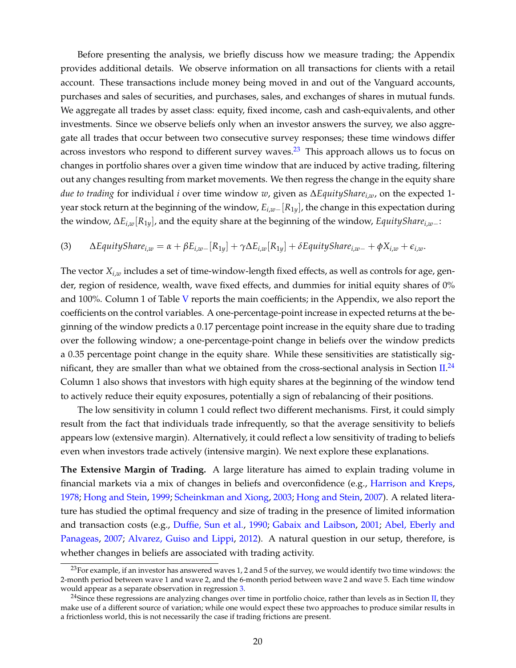Before presenting the analysis, we briefly discuss how we measure trading; the Appendix provides additional details. We observe information on all transactions for clients with a retail account. These transactions include money being moved in and out of the Vanguard accounts, purchases and sales of securities, and purchases, sales, and exchanges of shares in mutual funds. We aggregate all trades by asset class: equity, fixed income, cash and cash-equivalents, and other investments. Since we observe beliefs only when an investor answers the survey, we also aggregate all trades that occur between two consecutive survey responses; these time windows differ across investors who respond to different survey waves. $^{23}$  $^{23}$  $^{23}$  This approach allows us to focus on changes in portfolio shares over a given time window that are induced by active trading, filtering out any changes resulting from market movements. We then regress the change in the equity share *due to trading* for individual *i* over time window *w*, given as ∆*EquitySharei*,*w*, on the expected 1 year stock return at the beginning of the window, *Ei*,*w*−[*R*1*y*], the change in this expectation during the window, ∆*Ei*,*w*[*R*1*y*], and the equity share at the beginning of the window, *EquitySharei*,*w*−:

<span id="page-21-2"></span>(3) 
$$
\Delta EquityShare_{i,w} = \alpha + \beta E_{i,w} - [R_{1y}] + \gamma \Delta E_{i,w}[R_{1y}] + \delta EquityShare_{i,w} - \gamma \Delta E_{i,w}.
$$

The vector *Xi*,*<sup>w</sup>* includes a set of time-window-length fixed effects, as well as controls for age, gender, region of residence, wealth, wave fixed effects, and dummies for initial equity shares of 0% and 100%. Column 1 of Table [V](#page-22-0) reports the main coefficients; in the Appendix, we also report the coefficients on the control variables. A one-percentage-point increase in expected returns at the beginning of the window predicts a 0.17 percentage point increase in the equity share due to trading over the following window; a one-percentage-point change in beliefs over the window predicts a 0.35 percentage point change in the equity share. While these sensitivities are statistically sig-nificant, they are smaller than what we obtained from the cross-sectional analysis in Section [II.](#page-11-1)<sup>[24](#page-21-1)</sup> Column 1 also shows that investors with high equity shares at the beginning of the window tend to actively reduce their equity exposures, potentially a sign of rebalancing of their positions.

The low sensitivity in column 1 could reflect two different mechanisms. First, it could simply result from the fact that individuals trade infrequently, so that the average sensitivity to beliefs appears low (extensive margin). Alternatively, it could reflect a low sensitivity of trading to beliefs even when investors trade actively (intensive margin). We next explore these explanations.

**The Extensive Margin of Trading.** A large literature has aimed to explain trading volume in financial markets via a mix of changes in beliefs and overconfidence (e.g., [Harrison and Kreps,](#page-37-20) [1978;](#page-37-20) [Hong and Stein,](#page-37-21) [1999;](#page-37-21) [Scheinkman and Xiong,](#page-38-7) [2003;](#page-38-7) [Hong and Stein,](#page-37-22) [2007\)](#page-37-22). A related literature has studied the optimal frequency and size of trading in the presence of limited information and transaction costs (e.g., [Duffie, Sun et al.,](#page-37-14) [1990;](#page-37-14) [Gabaix and Laibson,](#page-37-15) [2001;](#page-37-15) [Abel, Eberly and](#page-35-15) [Panageas,](#page-35-15) [2007;](#page-35-15) [Alvarez, Guiso and Lippi,](#page-35-16) [2012\)](#page-35-16). A natural question in our setup, therefore, is whether changes in beliefs are associated with trading activity.

<span id="page-21-0"></span> $^{23}$ For example, if an investor has answered waves 1, 2 and 5 of the survey, we would identify two time windows: the 2-month period between wave 1 and wave 2, and the 6-month period between wave 2 and wave 5. Each time window would appear as a separate observation in regression [3.](#page-21-2)

<span id="page-21-1"></span><sup>&</sup>lt;sup>24</sup>Since these regressions are analyzing changes over time in portfolio choice, rather than levels as in Section [II,](#page-11-1) they make use of a different source of variation; while one would expect these two approaches to produce similar results in a frictionless world, this is not necessarily the case if trading frictions are present.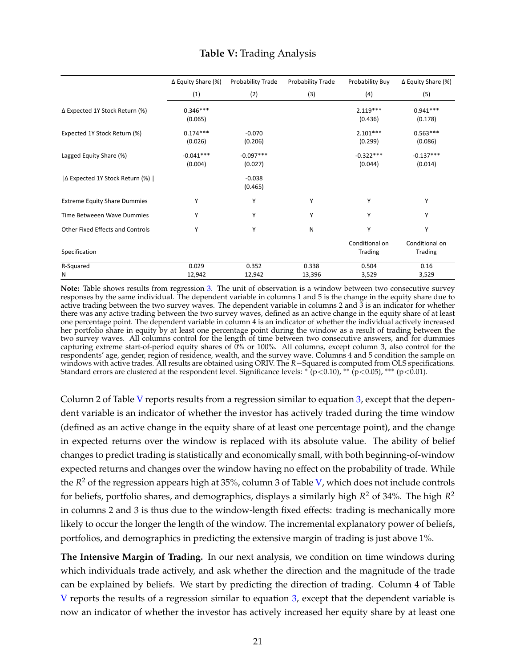<span id="page-22-0"></span>

|                                     | $\Delta$ Equity Share (%) | Probability Trade      | Probability Trade | Probability Buy           | $\Delta$ Equity Share (%) |
|-------------------------------------|---------------------------|------------------------|-------------------|---------------------------|---------------------------|
|                                     | (1)                       | (2)                    | (3)               | (4)                       | (5)                       |
| ∆ Expected 1Y Stock Return (%)      | $0.346***$<br>(0.065)     |                        |                   | $2.119***$<br>(0.436)     | $0.941***$<br>(0.178)     |
| Expected 1Y Stock Return (%)        | $0.174***$<br>(0.026)     | $-0.070$<br>(0.206)    |                   | $2.101***$<br>(0.299)     | $0.563***$<br>(0.086)     |
| Lagged Equity Share (%)             | $-0.041***$<br>(0.004)    | $-0.097***$<br>(0.027) |                   | $-0.322***$<br>(0.044)    | $-0.137***$<br>(0.014)    |
| ∆ Expected 1Y Stock Return (%)      |                           | $-0.038$<br>(0.465)    |                   |                           |                           |
| <b>Extreme Equity Share Dummies</b> | Υ                         | Υ                      | Υ                 | Υ                         | Υ                         |
| Time Betweeen Wave Dummies          | Υ                         | Υ                      | Υ                 | Υ                         | Υ                         |
| Other Fixed Effects and Controls    | Υ                         | Υ                      | N                 | Υ                         | Υ                         |
| Specification                       |                           |                        |                   | Conditional on<br>Trading | Conditional on<br>Trading |
| R-Squared<br>Ν                      | 0.029<br>12,942           | 0.352<br>12,942        | 0.338<br>13,396   | 0.504<br>3,529            | 0.16<br>3,529             |

## **Table V:** Trading Analysis

**Note:** Table shows results from regression [3.](#page-21-2) The unit of observation is a window between two consecutive survey responses by the same individual. The dependent variable in columns 1 and 5 is the change in the equity share due to active trading between the two survey waves. The dependent variable in columns 2 and 3 is an indicator for whether there was any active trading between the two survey waves, defined as an active change in the equity share of at least one percentage point. The dependent variable in column 4 is an indicator of whether the individual actively increased her portfolio share in equity by at least one percentage point during the window as a result of trading between the two survey waves. All columns control for the length of time between two consecutive answers, and for dummies capturing extreme start-of-period equity shares of 0% or 100%. All columns, except column 3, also control for the respondents' age, gender, region of residence, wealth, and the survey wave. Columns 4 and 5 condition the sample on windows with active trades. All results are obtained using ORIV. The *R*−Squared is computed from OLS specifications. Standard errors are clustered at the respondent level. Significance levels:  $\kappa^*(p<0.10)$ ,  $\ast\kappa^*(p<0.05)$ ,  $\ast\ast\kappa^*(p<0.01)$ .

Column 2 of Table [V](#page-22-0) reports results from a regression similar to equation  $3$ , except that the dependent variable is an indicator of whether the investor has actively traded during the time window (defined as an active change in the equity share of at least one percentage point), and the change in expected returns over the window is replaced with its absolute value. The ability of belief changes to predict trading is statistically and economically small, with both beginning-of-window expected returns and changes over the window having no effect on the probability of trade. While the *R* <sup>2</sup> of the regression appears high at 35%, column 3 of Table [V,](#page-22-0) which does not include controls for beliefs, portfolio shares, and demographics, displays a similarly high *R* <sup>2</sup> of 34%. The high *R* 2 in columns 2 and 3 is thus due to the window-length fixed effects: trading is mechanically more likely to occur the longer the length of the window. The incremental explanatory power of beliefs, portfolios, and demographics in predicting the extensive margin of trading is just above 1%.

**The Intensive Margin of Trading.** In our next analysis, we condition on time windows during which individuals trade actively, and ask whether the direction and the magnitude of the trade can be explained by beliefs. We start by predicting the direction of trading. Column 4 of Table [V](#page-22-0) reports the results of a regression similar to equation [3,](#page-21-2) except that the dependent variable is now an indicator of whether the investor has actively increased her equity share by at least one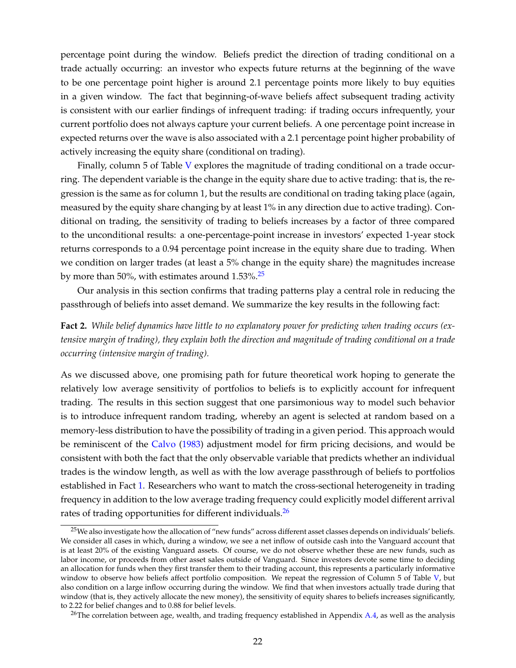percentage point during the window. Beliefs predict the direction of trading conditional on a trade actually occurring: an investor who expects future returns at the beginning of the wave to be one percentage point higher is around 2.1 percentage points more likely to buy equities in a given window. The fact that beginning-of-wave beliefs affect subsequent trading activity is consistent with our earlier findings of infrequent trading: if trading occurs infrequently, your current portfolio does not always capture your current beliefs. A one percentage point increase in expected returns over the wave is also associated with a 2.1 percentage point higher probability of actively increasing the equity share (conditional on trading).

Finally, column 5 of Table [V](#page-22-0) explores the magnitude of trading conditional on a trade occurring. The dependent variable is the change in the equity share due to active trading: that is, the regression is the same as for column 1, but the results are conditional on trading taking place (again, measured by the equity share changing by at least 1% in any direction due to active trading). Conditional on trading, the sensitivity of trading to beliefs increases by a factor of three compared to the unconditional results: a one-percentage-point increase in investors' expected 1-year stock returns corresponds to a 0.94 percentage point increase in the equity share due to trading. When we condition on larger trades (at least a 5% change in the equity share) the magnitudes increase by more than 50%, with estimates around  $1.53\%$ .<sup>[25](#page-23-1)</sup>

Our analysis in this section confirms that trading patterns play a central role in reducing the passthrough of beliefs into asset demand. We summarize the key results in the following fact:

<span id="page-23-0"></span>**Fact 2.** *While belief dynamics have little to no explanatory power for predicting when trading occurs (extensive margin of trading), they explain both the direction and magnitude of trading conditional on a trade occurring (intensive margin of trading).*

As we discussed above, one promising path for future theoretical work hoping to generate the relatively low average sensitivity of portfolios to beliefs is to explicitly account for infrequent trading. The results in this section suggest that one parsimonious way to model such behavior is to introduce infrequent random trading, whereby an agent is selected at random based on a memory-less distribution to have the possibility of trading in a given period. This approach would be reminiscent of the [Calvo](#page-36-24) [\(1983\)](#page-36-24) adjustment model for firm pricing decisions, and would be consistent with both the fact that the only observable variable that predicts whether an individual trades is the window length, as well as with the low average passthrough of beliefs to portfolios established in Fact [1.](#page-20-0) Researchers who want to match the cross-sectional heterogeneity in trading frequency in addition to the low average trading frequency could explicitly model different arrival rates of trading opportunities for different individuals.<sup>[26](#page-23-2)</sup>

<span id="page-23-1"></span><sup>&</sup>lt;sup>25</sup>We also investigate how the allocation of "new funds" across different asset classes depends on individuals' beliefs. We consider all cases in which, during a window, we see a net inflow of outside cash into the Vanguard account that is at least 20% of the existing Vanguard assets. Of course, we do not observe whether these are new funds, such as labor income, or proceeds from other asset sales outside of Vanguard. Since investors devote some time to deciding an allocation for funds when they first transfer them to their trading account, this represents a particularly informative window to observe how beliefs affect portfolio composition. We repeat the regression of Column 5 of Table [V,](#page-22-0) but also condition on a large inflow occurring during the window. We find that when investors actually trade during that window (that is, they actively allocate the new money), the sensitivity of equity shares to beliefs increases significantly, to 2.22 for belief changes and to 0.88 for belief levels.

<span id="page-23-2"></span><sup>&</sup>lt;sup>26</sup>The correlation between age, wealth, and trading frequency established in Appendix  $A_4$ , as well as the analysis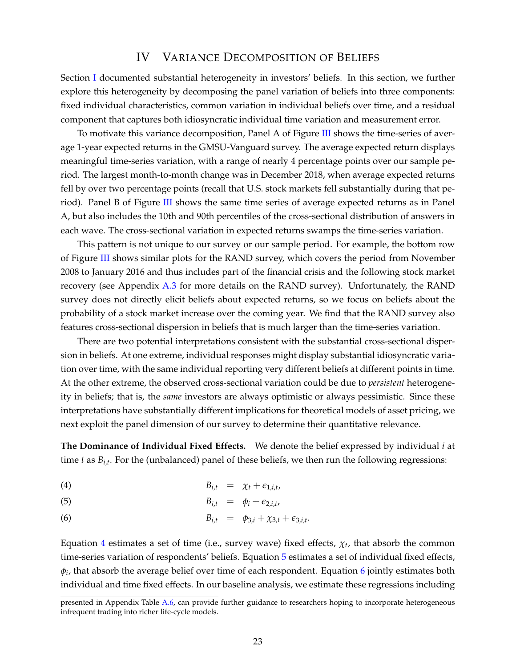### IV VARIANCE DECOMPOSITION OF BELIEFS

Section [I](#page-5-0) documented substantial heterogeneity in investors' beliefs. In this section, we further explore this heterogeneity by decomposing the panel variation of beliefs into three components: fixed individual characteristics, common variation in individual beliefs over time, and a residual component that captures both idiosyncratic individual time variation and measurement error.

To motivate this variance decomposition, Panel A of Figure [III](#page-25-0) shows the time-series of average 1-year expected returns in the GMSU-Vanguard survey. The average expected return displays meaningful time-series variation, with a range of nearly 4 percentage points over our sample period. The largest month-to-month change was in December 2018, when average expected returns fell by over two percentage points (recall that U.S. stock markets fell substantially during that period). Panel B of Figure [III](#page-25-0) shows the same time series of average expected returns as in Panel A, but also includes the 10th and 90th percentiles of the cross-sectional distribution of answers in each wave. The cross-sectional variation in expected returns swamps the time-series variation.

This pattern is not unique to our survey or our sample period. For example, the bottom row of Figure [III](#page-25-0) shows similar plots for the RAND survey, which covers the period from November 2008 to January 2016 and thus includes part of the financial crisis and the following stock market recovery (see Appendix A.3 for more details on the RAND survey). Unfortunately, the RAND survey does not directly elicit beliefs about expected returns, so we focus on beliefs about the probability of a stock market increase over the coming year. We find that the RAND survey also features cross-sectional dispersion in beliefs that is much larger than the time-series variation.

There are two potential interpretations consistent with the substantial cross-sectional dispersion in beliefs. At one extreme, individual responses might display substantial idiosyncratic variation over time, with the same individual reporting very different beliefs at different points in time. At the other extreme, the observed cross-sectional variation could be due to *persistent* heterogeneity in beliefs; that is, the *same* investors are always optimistic or always pessimistic. Since these interpretations have substantially different implications for theoretical models of asset pricing, we next exploit the panel dimension of our survey to determine their quantitative relevance.

**The Dominance of Individual Fixed Effects.** We denote the belief expressed by individual *i* at time *t* as *Bi*,*<sup>t</sup>* . For the (unbalanced) panel of these beliefs, we then run the following regressions:

<span id="page-24-0"></span>
$$
(4) \t\t\t B_{i,t} = \chi_t + \epsilon_{1,i,t},
$$

$$
(5) \t\t\t B_{i,t} = \phi_i + \epsilon_{2,i,t},
$$

(6) 
$$
B_{i,t} = \phi_{3,i} + \chi_{3,t} + \epsilon_{3,i,t}.
$$

Equation [4](#page-24-0) estimates a set of time (i.e., survey wave) fixed effects, *χ<sup>t</sup>* , that absorb the common time-series variation of respondents' beliefs. Equation [5](#page-24-0) estimates a set of individual fixed effects, *φi* , that absorb the average belief over time of each respondent. Equation [6](#page-24-0) jointly estimates both individual and time fixed effects. In our baseline analysis, we estimate these regressions including

presented in Appendix Table A.6, can provide further guidance to researchers hoping to incorporate heterogeneous infrequent trading into richer life-cycle models.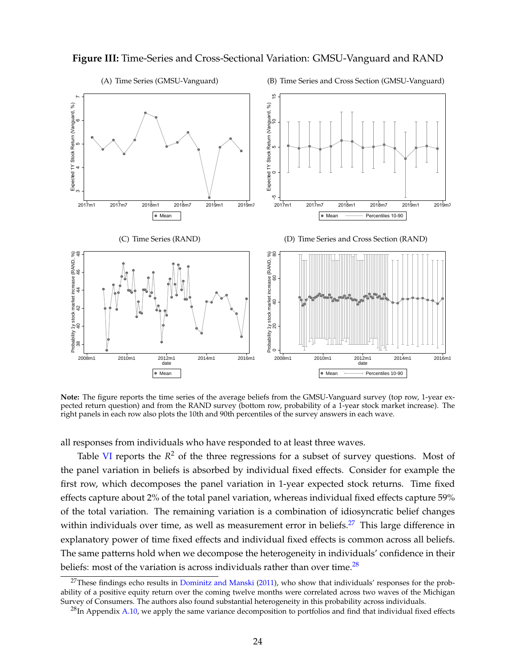<span id="page-25-0"></span>

**Note:** The figure reports the time series of the average beliefs from the GMSU-Vanguard survey (top row, 1-year expected return question) and from the RAND survey (bottom row, probability of a 1-year stock market increase). The right panels in each row also plots the 10th and 90th percentiles of the survey answers in each wave.

all responses from individuals who have responded to at least three waves.

Table [VI](#page-26-0) reports the  $R^2$  of the three regressions for a subset of survey questions. Most of the panel variation in beliefs is absorbed by individual fixed effects. Consider for example the first row, which decomposes the panel variation in 1-year expected stock returns. Time fixed effects capture about 2% of the total panel variation, whereas individual fixed effects capture 59% of the total variation. The remaining variation is a combination of idiosyncratic belief changes within individuals over time, as well as measurement error in beliefs. $27$  This large difference in explanatory power of time fixed effects and individual fixed effects is common across all beliefs. The same patterns hold when we decompose the heterogeneity in individuals' confidence in their beliefs: most of the variation is across individuals rather than over time.<sup>[28](#page-25-2)</sup>

<span id="page-25-1"></span><sup>&</sup>lt;sup>27</sup>These findings echo results in [Dominitz and Manski](#page-37-23) [\(2011\)](#page-37-23), who show that individuals' responses for the probability of a positive equity return over the coming twelve months were correlated across two waves of the Michigan Survey of Consumers. The authors also found substantial heterogeneity in this probability across individuals.

<span id="page-25-2"></span> $^{28}$ In Appendix A.10, we apply the same variance decomposition to portfolios and find that individual fixed effects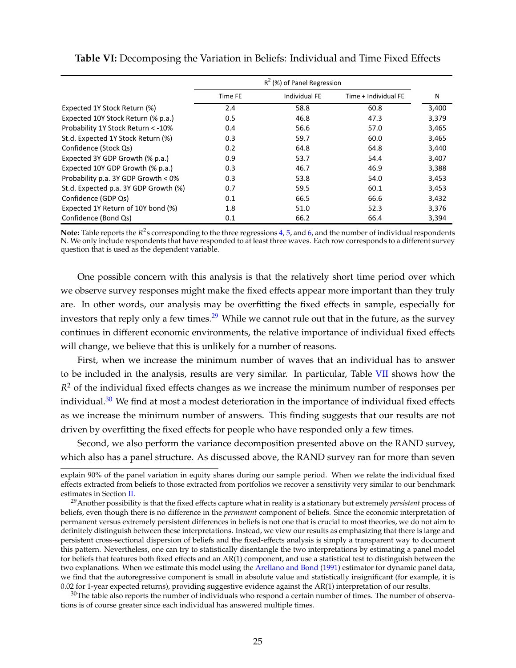|                                       | $R^2$ (%) of Panel Regression |                      |                      |       |  |  |
|---------------------------------------|-------------------------------|----------------------|----------------------|-------|--|--|
|                                       | Time FE                       | <b>Individual FE</b> | Time + Individual FE | N     |  |  |
| Expected 1Y Stock Return (%)          | 2.4                           | 58.8                 | 60.8                 | 3,400 |  |  |
| Expected 10Y Stock Return (% p.a.)    | 0.5                           | 46.8                 | 47.3                 | 3,379 |  |  |
| Probability 1Y Stock Return < - 10%   | 0.4                           | 56.6                 | 57.0                 | 3,465 |  |  |
| St.d. Expected 1Y Stock Return (%)    | 0.3                           | 59.7                 | 60.0                 | 3,465 |  |  |
| Confidence (Stock Qs)                 | 0.2                           | 64.8                 | 64.8                 | 3,440 |  |  |
| Expected 3Y GDP Growth (% p.a.)       | 0.9                           | 53.7                 | 54.4                 | 3,407 |  |  |
| Expected 10Y GDP Growth (% p.a.)      | 0.3                           | 46.7                 | 46.9                 | 3,388 |  |  |
| Probability p.a. 3Y GDP Growth < 0%   | 0.3                           | 53.8                 | 54.0                 | 3,453 |  |  |
| St.d. Expected p.a. 3Y GDP Growth (%) | 0.7                           | 59.5                 | 60.1                 | 3,453 |  |  |
| Confidence (GDP Qs)                   | 0.1                           | 66.5                 | 66.6                 | 3,432 |  |  |
| Expected 1Y Return of 10Y bond (%)    | 1.8                           | 51.0                 | 52.3                 | 3,376 |  |  |
| Confidence (Bond Qs)                  | 0.1                           | 66.2                 | 66.4                 | 3.394 |  |  |

<span id="page-26-0"></span>**Table VI:** Decomposing the Variation in Beliefs: Individual and Time Fixed Effects

**Note:** Table reports the R<sup>2</sup>s corresponding to the three regressions [4,](#page-24-0) [5,](#page-24-0) and [6,](#page-24-0) and the number of individual respondents N. We only include respondents that have responded to at least three waves. Each row corresponds to a different survey question that is used as the dependent variable.

One possible concern with this analysis is that the relatively short time period over which we observe survey responses might make the fixed effects appear more important than they truly are. In other words, our analysis may be overfitting the fixed effects in sample, especially for investors that reply only a few times.<sup>[29](#page-26-1)</sup> While we cannot rule out that in the future, as the survey continues in different economic environments, the relative importance of individual fixed effects will change, we believe that this is unlikely for a number of reasons.

First, when we increase the minimum number of waves that an individual has to answer to be included in the analysis, results are very similar. In particular, Table [VII](#page-27-0) shows how the  $R<sup>2</sup>$  of the individual fixed effects changes as we increase the minimum number of responses per individual. $30$  We find at most a modest deterioration in the importance of individual fixed effects as we increase the minimum number of answers. This finding suggests that our results are not driven by overfitting the fixed effects for people who have responded only a few times.

Second, we also perform the variance decomposition presented above on the RAND survey, which also has a panel structure. As discussed above, the RAND survey ran for more than seven

explain 90% of the panel variation in equity shares during our sample period. When we relate the individual fixed effects extracted from beliefs to those extracted from portfolios we recover a sensitivity very similar to our benchmark estimates in Section [II.](#page-11-1)

<span id="page-26-1"></span><sup>29</sup>Another possibility is that the fixed effects capture what in reality is a stationary but extremely *persistent* process of beliefs, even though there is no difference in the *permanent* component of beliefs. Since the economic interpretation of permanent versus extremely persistent differences in beliefs is not one that is crucial to most theories, we do not aim to definitely distinguish between these interpretations. Instead, we view our results as emphasizing that there is large and persistent cross-sectional dispersion of beliefs and the fixed-effects analysis is simply a transparent way to document this pattern. Nevertheless, one can try to statistically disentangle the two interpretations by estimating a panel model for beliefs that features both fixed effects and an AR(1) component, and use a statistical test to distinguish between the two explanations. When we estimate this model using the [Arellano and Bond](#page-35-21) [\(1991\)](#page-35-21) estimator for dynamic panel data, we find that the autoregressive component is small in absolute value and statistically insignificant (for example, it is 0.02 for 1-year expected returns), providing suggestive evidence against the AR(1) interpretation of our results.

<span id="page-26-2"></span> $30$ The table also reports the number of individuals who respond a certain number of times. The number of observations is of course greater since each individual has answered multiple times.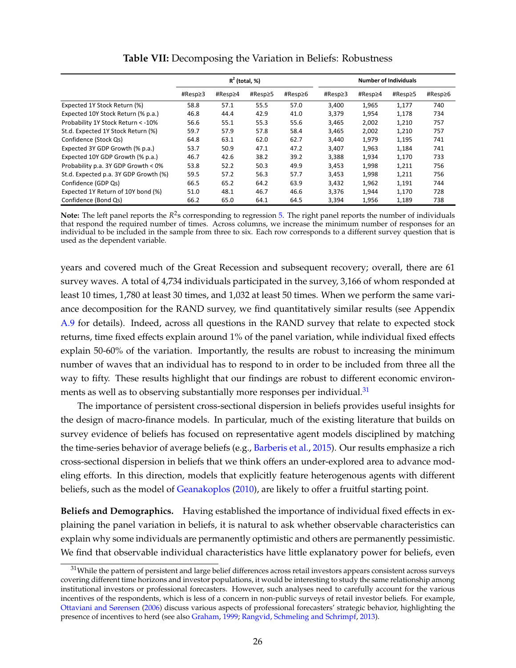<span id="page-27-0"></span>

|                                       | $R^2$ (total, %) |         |         |         | <b>Number of Individuals</b> |         |         |         |
|---------------------------------------|------------------|---------|---------|---------|------------------------------|---------|---------|---------|
|                                       | #Resp≥3          | #Resp≥4 | #Resp≥5 | #Resp≥6 | #Resp≥3                      | #Resp≥4 | #Resp≥5 | #Resp≥6 |
| Expected 1Y Stock Return (%)          | 58.8             | 57.1    | 55.5    | 57.0    | 3,400                        | 1,965   | 1,177   | 740     |
| Expected 10Y Stock Return (% p.a.)    | 46.8             | 44.4    | 42.9    | 41.0    | 3,379                        | 1,954   | 1,178   | 734     |
| Probability 1Y Stock Return < - 10%   | 56.6             | 55.1    | 55.3    | 55.6    | 3.465                        | 2,002   | 1.210   | 757     |
| St.d. Expected 1Y Stock Return (%)    | 59.7             | 57.9    | 57.8    | 58.4    | 3,465                        | 2,002   | 1,210   | 757     |
| Confidence (Stock Qs)                 | 64.8             | 63.1    | 62.0    | 62.7    | 3.440                        | 1,979   | 1,195   | 741     |
| Expected 3Y GDP Growth (% p.a.)       | 53.7             | 50.9    | 47.1    | 47.2    | 3,407                        | 1,963   | 1,184   | 741     |
| Expected 10Y GDP Growth (% p.a.)      | 46.7             | 42.6    | 38.2    | 39.2    | 3,388                        | 1,934   | 1,170   | 733     |
| Probability p.a. 3Y GDP Growth < 0%   | 53.8             | 52.2    | 50.3    | 49.9    | 3,453                        | 1,998   | 1,211   | 756     |
| St.d. Expected p.a. 3Y GDP Growth (%) | 59.5             | 57.2    | 56.3    | 57.7    | 3,453                        | 1,998   | 1,211   | 756     |
| Confidence (GDP Qs)                   | 66.5             | 65.2    | 64.2    | 63.9    | 3,432                        | 1,962   | 1,191   | 744     |
| Expected 1Y Return of 10Y bond (%)    | 51.0             | 48.1    | 46.7    | 46.6    | 3,376                        | 1,944   | 1,170   | 728     |
| Confidence (Bond Qs)                  | 66.2             | 65.0    | 64.1    | 64.5    | 3,394                        | 1,956   | 1,189   | 738     |

**Table VII:** Decomposing the Variation in Beliefs: Robustness

Note: The left panel reports the *R*<sup>2</sup>s corresponding to regression [5.](#page-24-0) The right panel reports the number of individuals that respond the required number of times. Across columns, we increase the minimum number of responses for an individual to be included in the sample from three to six. Each row corresponds to a different survey question that is used as the dependent variable.

years and covered much of the Great Recession and subsequent recovery; overall, there are 61 survey waves. A total of 4,734 individuals participated in the survey, 3,166 of whom responded at least 10 times, 1,780 at least 30 times, and 1,032 at least 50 times. When we perform the same variance decomposition for the RAND survey, we find quantitatively similar results (see Appendix A.9 for details). Indeed, across all questions in the RAND survey that relate to expected stock returns, time fixed effects explain around 1% of the panel variation, while individual fixed effects explain 50-60% of the variation. Importantly, the results are robust to increasing the minimum number of waves that an individual has to respond to in order to be included from three all the way to fifty. These results highlight that our findings are robust to different economic environ-ments as well as to observing substantially more responses per individual.<sup>[31](#page-27-1)</sup>

The importance of persistent cross-sectional dispersion in beliefs provides useful insights for the design of macro-finance models. In particular, much of the existing literature that builds on survey evidence of beliefs has focused on representative agent models disciplined by matching the time-series behavior of average beliefs (e.g., [Barberis et al.,](#page-36-8) [2015\)](#page-36-8). Our results emphasize a rich cross-sectional dispersion in beliefs that we think offers an under-explored area to advance modeling efforts. In this direction, models that explicitly feature heterogenous agents with different beliefs, such as the model of [Geanakoplos](#page-37-7) [\(2010\)](#page-37-7), are likely to offer a fruitful starting point.

**Beliefs and Demographics.** Having established the importance of individual fixed effects in explaining the panel variation in beliefs, it is natural to ask whether observable characteristics can explain why some individuals are permanently optimistic and others are permanently pessimistic. We find that observable individual characteristics have little explanatory power for beliefs, even

<span id="page-27-1"></span><sup>&</sup>lt;sup>31</sup>While the pattern of persistent and large belief differences across retail investors appears consistent across surveys covering different time horizons and investor populations, it would be interesting to study the same relationship among institutional investors or professional forecasters. However, such analyses need to carefully account for the various incentives of the respondents, which is less of a concern in non-public surveys of retail investor beliefs. For example, [Ottaviani and Sørensen](#page-38-20) [\(2006\)](#page-38-20) discuss various aspects of professional forecasters' strategic behavior, highlighting the presence of incentives to herd (see also [Graham,](#page-37-24) [1999;](#page-37-24) [Rangvid, Schmeling and Schrimpf,](#page-38-21) [2013\)](#page-38-21).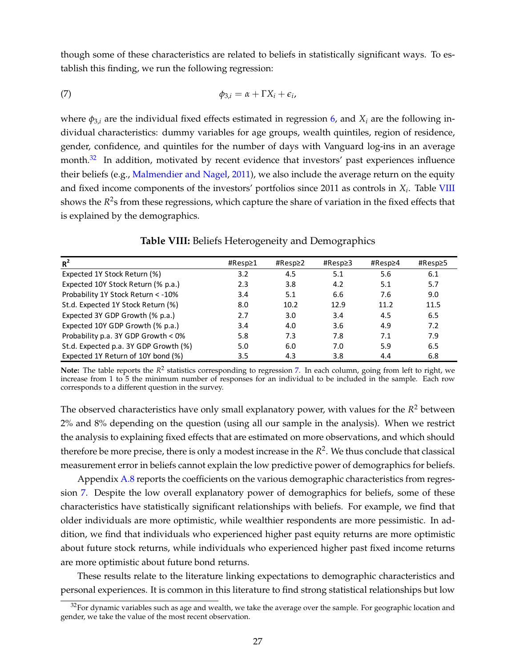though some of these characteristics are related to beliefs in statistically significant ways. To establish this finding, we run the following regression:

<span id="page-28-2"></span>
$$
\phi_{3,i} = \alpha + \Gamma X_i + \epsilon_i,
$$

where  $\phi_{3,i}$  are the individual fixed effects estimated in regression [6,](#page-24-0) and  $X_i$  are the following individual characteristics: dummy variables for age groups, wealth quintiles, region of residence, gender, confidence, and quintiles for the number of days with Vanguard log-ins in an average month. $32$  In addition, motivated by recent evidence that investors' past experiences influence their beliefs (e.g., [Malmendier and Nagel,](#page-38-22) [2011\)](#page-38-22), we also include the average return on the equity and fixed income components of the investors' portfolios since 2011 as controls in *X<sup>i</sup>* . Table [VIII](#page-28-1) shows the  $R^2$ s from these regressions, which capture the share of variation in the fixed effects that is explained by the demographics.

<span id="page-28-1"></span>

| $R^2$                                 | #Resp≥1 | #Resp $\geq$ 2 | #Resp≥3 | #Resp≥4 | #Resp≥5 |
|---------------------------------------|---------|----------------|---------|---------|---------|
| Expected 1Y Stock Return (%)          | 3.2     | 4.5            | 5.1     | 5.6     | 6.1     |
| Expected 10Y Stock Return (% p.a.)    | 2.3     | 3.8            | 4.2     | 5.1     | 5.7     |
| Probability 1Y Stock Return < - 10%   | 3.4     | 5.1            | 6.6     | 7.6     | 9.0     |
| St.d. Expected 1Y Stock Return (%)    | 8.0     | 10.2           | 12.9    | 11.2    | 11.5    |
| Expected 3Y GDP Growth (% p.a.)       | 2.7     | 3.0            | 3.4     | 4.5     | 6.5     |
| Expected 10Y GDP Growth (% p.a.)      | 3.4     | 4.0            | 3.6     | 4.9     | 7.2     |
| Probability p.a. 3Y GDP Growth < 0%   | 5.8     | 7.3            | 7.8     | 7.1     | 7.9     |
| St.d. Expected p.a. 3Y GDP Growth (%) | 5.0     | 6.0            | 7.0     | 5.9     | 6.5     |
| Expected 1Y Return of 10Y bond (%)    | 3.5     | 4.3            | 3.8     | 4.4     | 6.8     |

**Table VIII:** Beliefs Heterogeneity and Demographics

Note: The table reports the  $R^2$  statistics corresponding to regression [7.](#page-28-2) In each column, going from left to right, we increase from 1 to 5 the minimum number of responses for an individual to be included in the sample. Each row corresponds to a different question in the survey.

The observed characteristics have only small explanatory power, with values for the *R* <sup>2</sup> between 2% and 8% depending on the question (using all our sample in the analysis). When we restrict the analysis to explaining fixed effects that are estimated on more observations, and which should therefore be more precise, there is only a modest increase in the *R* 2 . We thus conclude that classical measurement error in beliefs cannot explain the low predictive power of demographics for beliefs.

Appendix A.8 reports the coefficients on the various demographic characteristics from regression [7.](#page-28-2) Despite the low overall explanatory power of demographics for beliefs, some of these characteristics have statistically significant relationships with beliefs. For example, we find that older individuals are more optimistic, while wealthier respondents are more pessimistic. In addition, we find that individuals who experienced higher past equity returns are more optimistic about future stock returns, while individuals who experienced higher past fixed income returns are more optimistic about future bond returns.

These results relate to the literature linking expectations to demographic characteristics and personal experiences. It is common in this literature to find strong statistical relationships but low

<span id="page-28-0"></span> $32$ For dynamic variables such as age and wealth, we take the average over the sample. For geographic location and gender, we take the value of the most recent observation.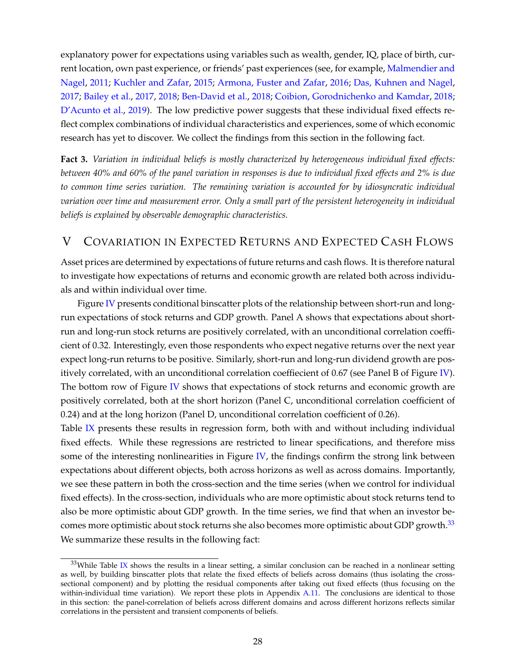explanatory power for expectations using variables such as wealth, gender, IQ, place of birth, current location, own past experience, or friends' past experiences (see, for example, [Malmendier and](#page-38-22) [Nagel,](#page-38-22) [2011;](#page-38-22) [Kuchler and Zafar,](#page-38-10) [2015;](#page-38-10) [Armona, Fuster and Zafar,](#page-35-22) [2016;](#page-35-22) [Das, Kuhnen and Nagel,](#page-36-25) [2017;](#page-36-25) [Bailey et al.,](#page-35-23) [2017,](#page-35-23) [2018;](#page-35-24) [Ben-David et al.,](#page-36-26) [2018;](#page-36-26) [Coibion, Gorodnichenko and Kamdar,](#page-36-27) [2018;](#page-36-27) [D'Acunto et al.,](#page-36-28) [2019\)](#page-36-28). The low predictive power suggests that these individual fixed effects reflect complex combinations of individual characteristics and experiences, some of which economic research has yet to discover. We collect the findings from this section in the following fact.

<span id="page-29-0"></span>**Fact 3.** *Variation in individual beliefs is mostly characterized by heterogeneous individual fixed effects: between 40% and 60% of the panel variation in responses is due to individual fixed effects and 2% is due to common time series variation. The remaining variation is accounted for by idiosyncratic individual variation over time and measurement error. Only a small part of the persistent heterogeneity in individual beliefs is explained by observable demographic characteristics.*

## V COVARIATION IN EXPECTED RETURNS AND EXPECTED CASH FLOWS

Asset prices are determined by expectations of future returns and cash flows. It is therefore natural to investigate how expectations of returns and economic growth are related both across individuals and within individual over time.

Figure [IV](#page-30-1) presents conditional binscatter plots of the relationship between short-run and longrun expectations of stock returns and GDP growth. Panel A shows that expectations about shortrun and long-run stock returns are positively correlated, with an unconditional correlation coefficient of 0.32. Interestingly, even those respondents who expect negative returns over the next year expect long-run returns to be positive. Similarly, short-run and long-run dividend growth are pos-itively correlated, with an unconditional correlation coeffiecient of 0.67 (see Panel B of Figure [IV\)](#page-30-1). The bottom row of Figure [IV](#page-30-1) shows that expectations of stock returns and economic growth are positively correlated, both at the short horizon (Panel C, unconditional correlation coefficient of 0.24) and at the long horizon (Panel D, unconditional correlation coefficient of 0.26).

Table [IX](#page-31-0) presents these results in regression form, both with and without including individual fixed effects. While these regressions are restricted to linear specifications, and therefore miss some of the interesting nonlinearities in Figure [IV,](#page-30-1) the findings confirm the strong link between expectations about different objects, both across horizons as well as across domains. Importantly, we see these pattern in both the cross-section and the time series (when we control for individual fixed effects). In the cross-section, individuals who are more optimistic about stock returns tend to also be more optimistic about GDP growth. In the time series, we find that when an investor be-comes more optimistic about stock returns she also becomes more optimistic about GDP growth.<sup>[33](#page-29-1)</sup> We summarize these results in the following fact:

<span id="page-29-1"></span> $33$ While Table [IX](#page-31-0) shows the results in a linear setting, a similar conclusion can be reached in a nonlinear setting as well, by building binscatter plots that relate the fixed effects of beliefs across domains (thus isolating the crosssectional component) and by plotting the residual components after taking out fixed effects (thus focusing on the within-individual time variation). We report these plots in Appendix A.11. The conclusions are identical to those in this section: the panel-correlation of beliefs across different domains and across different horizons reflects similar correlations in the persistent and transient components of beliefs.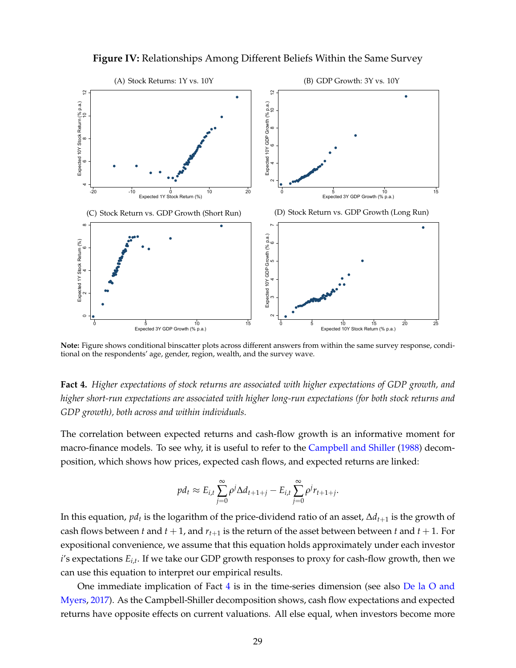<span id="page-30-1"></span>

**Figure IV:** Relationships Among Different Beliefs Within the Same Survey

**Note:** Figure shows conditional binscatter plots across different answers from within the same survey response, conditional on the respondents' age, gender, region, wealth, and the survey wave.

<span id="page-30-0"></span>**Fact 4.** *Higher expectations of stock returns are associated with higher expectations of GDP growth, and higher short-run expectations are associated with higher long-run expectations (for both stock returns and GDP growth), both across and within individuals.*

The correlation between expected returns and cash-flow growth is an informative moment for macro-finance models. To see why, it is useful to refer to the [Campbell and Shiller](#page-36-0) [\(1988\)](#page-36-0) decomposition, which shows how prices, expected cash flows, and expected returns are linked:

$$
pd_t \approx E_{i,t} \sum_{j=0}^{\infty} \rho^j \Delta d_{t+1+j} - E_{i,t} \sum_{j=0}^{\infty} \rho^j r_{t+1+j}.
$$

In this equation, *pd<sup>t</sup>* is the logarithm of the price-dividend ratio of an asset, ∆*dt*+<sup>1</sup> is the growth of cash flows between *t* and  $t + 1$ , and  $r_{t+1}$  is the return of the asset between between *t* and  $t + 1$ . For expositional convenience, we assume that this equation holds approximately under each investor *i*'s expectations *Ei*,*<sup>t</sup>* . If we take our GDP growth responses to proxy for cash-flow growth, then we can use this equation to interpret our empirical results.

One immediate implication of Fact  $4$  is in the time-series dimension (see also [De la O and](#page-36-29) [Myers,](#page-36-29) [2017\)](#page-36-29). As the Campbell-Shiller decomposition shows, cash flow expectations and expected returns have opposite effects on current valuations. All else equal, when investors become more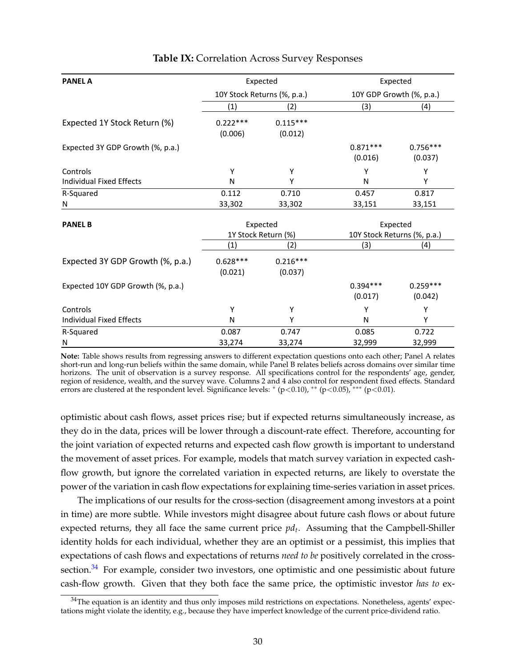<span id="page-31-0"></span>

| <b>PANEL A</b>                    |            | Expected                    | Expected              |                             |  |
|-----------------------------------|------------|-----------------------------|-----------------------|-----------------------------|--|
|                                   |            | 10Y Stock Returns (%, p.a.) |                       | 10Y GDP Growth (%, p.a.)    |  |
|                                   | (1)        | (2)                         | (3)                   | (4)                         |  |
| Expected 1Y Stock Return (%)      | $0.222***$ | $0.115***$                  |                       |                             |  |
|                                   | (0.006)    | (0.012)                     |                       |                             |  |
| Expected 3Y GDP Growth (%, p.a.)  |            |                             | $0.871***$<br>(0.016) | $0.756***$<br>(0.037)       |  |
| Controls                          | Y          | Y                           | γ                     | Υ                           |  |
| <b>Individual Fixed Effects</b>   | N          | Υ                           | N                     | Υ                           |  |
| R-Squared                         | 0.112      | 0.710                       | 0.457                 | 0.817                       |  |
| N                                 | 33,302     | 33,302                      | 33,151                | 33,151                      |  |
| <b>PANEL B</b>                    |            | Expected                    | Expected              |                             |  |
|                                   |            | 1Y Stock Return (%)         |                       | 10Y Stock Returns (%, p.a.) |  |
|                                   | (1)        | (2)                         | (3)                   | (4)                         |  |
| Expected 3Y GDP Growth (%, p.a.)  | $0.628***$ | $0.216***$                  |                       |                             |  |
|                                   | (0.021)    | (0.037)                     |                       |                             |  |
| Expected 10Y GDP Growth (%, p.a.) |            |                             | $0.394***$            | $0.259***$                  |  |
|                                   |            |                             | (0.017)               | (0.042)                     |  |
| Controls                          | Y          | Υ                           | Υ                     | Υ                           |  |
| Individual Fixed Effects          | N          | Υ                           | N                     | Υ                           |  |
| R-Squared                         | 0.087      | 0.747                       | 0.085                 | 0.722                       |  |
| N                                 | 33,274     | 33,274                      | 32,999                | 32,999                      |  |

### **Table IX:** Correlation Across Survey Responses

**Note:** Table shows results from regressing answers to different expectation questions onto each other; Panel A relates short-run and long-run beliefs within the same domain, while Panel B relates beliefs across domains over similar time horizons. The unit of observation is a survey response. All specifications control for the respondents' age, gender, region of residence, wealth, and the survey wave. Columns 2 and 4 also control for respondent fixed effects. Standard errors are clustered at the respondent level. Significance levels: \* (p<0.10), \*\* (p<0.05), \*\*\* (p<0.01).

optimistic about cash flows, asset prices rise; but if expected returns simultaneously increase, as they do in the data, prices will be lower through a discount-rate effect. Therefore, accounting for the joint variation of expected returns and expected cash flow growth is important to understand the movement of asset prices. For example, models that match survey variation in expected cashflow growth, but ignore the correlated variation in expected returns, are likely to overstate the power of the variation in cash flow expectations for explaining time-series variation in asset prices.

The implications of our results for the cross-section (disagreement among investors at a point in time) are more subtle. While investors might disagree about future cash flows or about future expected returns, they all face the same current price *pd<sup>t</sup>* . Assuming that the Campbell-Shiller identity holds for each individual, whether they are an optimist or a pessimist, this implies that expectations of cash flows and expectations of returns *need to be* positively correlated in the cross-section.<sup>[34](#page-31-1)</sup> For example, consider two investors, one optimistic and one pessimistic about future cash-flow growth. Given that they both face the same price, the optimistic investor *has to* ex-

<span id="page-31-1"></span> $34$ The equation is an identity and thus only imposes mild restrictions on expectations. Nonetheless, agents' expectations might violate the identity, e.g., because they have imperfect knowledge of the current price-dividend ratio.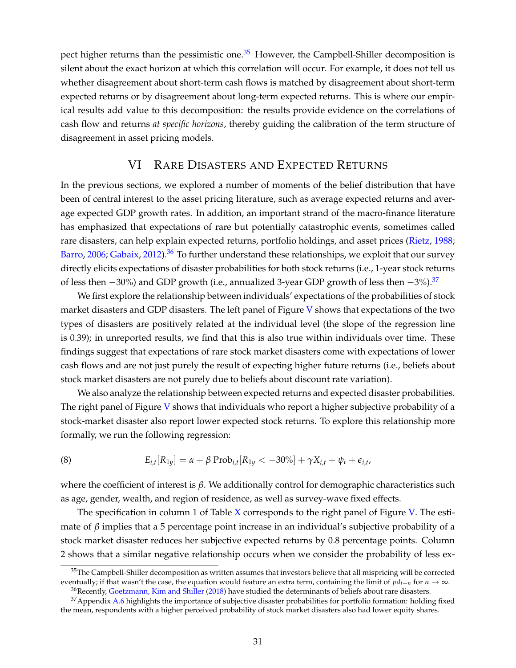pect higher returns than the pessimistic one. $35$  However, the Campbell-Shiller decomposition is silent about the exact horizon at which this correlation will occur. For example, it does not tell us whether disagreement about short-term cash flows is matched by disagreement about short-term expected returns or by disagreement about long-term expected returns. This is where our empirical results add value to this decomposition: the results provide evidence on the correlations of cash flow and returns *at specific horizons*, thereby guiding the calibration of the term structure of disagreement in asset pricing models.

### VI RARE DISASTERS AND EXPECTED RETURNS

In the previous sections, we explored a number of moments of the belief distribution that have been of central interest to the asset pricing literature, such as average expected returns and average expected GDP growth rates. In addition, an important strand of the macro-finance literature has emphasized that expectations of rare but potentially catastrophic events, sometimes called rare disasters, can help explain expected returns, portfolio holdings, and asset prices [\(Rietz,](#page-38-3) [1988;](#page-38-3) [Barro,](#page-36-1) [2006;](#page-36-1) [Gabaix,](#page-37-1) [2012\)](#page-37-1).<sup>[36](#page-32-1)</sup> To further understand these relationships, we exploit that our survey directly elicits expectations of disaster probabilities for both stock returns (i.e., 1-year stock returns of less then  $-30\%$ ) and GDP growth (i.e., annualized 3-year GDP growth of less then  $-3\%$ ).<sup>[37](#page-32-2)</sup>

We first explore the relationship between individuals' expectations of the probabilities of stock market disasters and GDP disasters. The left panel of Figure [V](#page-33-1) shows that expectations of the two types of disasters are positively related at the individual level (the slope of the regression line is 0.39); in unreported results, we find that this is also true within individuals over time. These findings suggest that expectations of rare stock market disasters come with expectations of lower cash flows and are not just purely the result of expecting higher future returns (i.e., beliefs about stock market disasters are not purely due to beliefs about discount rate variation).

We also analyze the relationship between expected returns and expected disaster probabilities. The right panel of Figure [V](#page-33-1) shows that individuals who report a higher subjective probability of a stock-market disaster also report lower expected stock returns. To explore this relationship more formally, we run the following regression:

<span id="page-32-3"></span>(8) 
$$
E_{i,t}[R_{1y}] = \alpha + \beta \text{Prob}_{i,t}[R_{1y} < -30\%] + \gamma X_{i,t} + \psi_t + \epsilon_{i,t},
$$

where the coefficient of interest is *β*. We additionally control for demographic characteristics such as age, gender, wealth, and region of residence, as well as survey-wave fixed effects.

The specification in column 1 of Table [X](#page-34-0) corresponds to the right panel of Figure [V.](#page-33-1) The estimate of  $\beta$  implies that a 5 percentage point increase in an individual's subjective probability of a stock market disaster reduces her subjective expected returns by 0.8 percentage points. Column 2 shows that a similar negative relationship occurs when we consider the probability of less ex-

<span id="page-32-0"></span> $35$ The Campbell-Shiller decomposition as written assumes that investors believe that all mispricing will be corrected eventually; if that wasn't the case, the equation would feature an extra term, containing the limit of  $pd_{t+n}$  for  $n \to \infty$ .

<span id="page-32-2"></span><span id="page-32-1"></span><sup>&</sup>lt;sup>36</sup>Recently, [Goetzmann, Kim and Shiller](#page-37-25) [\(2018\)](#page-37-25) have studied the determinants of beliefs about rare disasters.

<sup>&</sup>lt;sup>37</sup>Appendix A.6 highlights the importance of subjective disaster probabilities for portfolio formation: holding fixed the mean, respondents with a higher perceived probability of stock market disasters also had lower equity shares.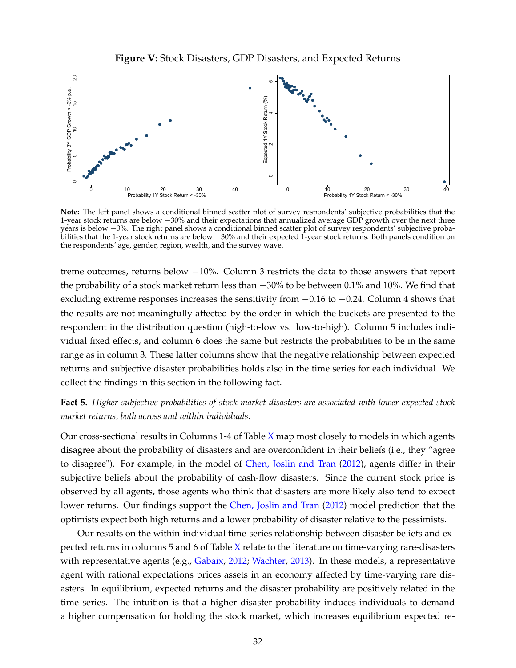<span id="page-33-1"></span>

**Note:** The left panel shows a conditional binned scatter plot of survey respondents' subjective probabilities that the 1-year stock returns are below −30% and their expectations that annualized average GDP growth over the next three years is below −3%. The right panel shows a conditional binned scatter plot of survey respondents' subjective probabilities that the 1-year stock returns are below −30% and their expected 1-year stock returns. Both panels condition on the respondents' age, gender, region, wealth, and the survey wave.

treme outcomes, returns below −10%. Column 3 restricts the data to those answers that report the probability of a stock market return less than −30% to be between 0.1% and 10%. We find that excluding extreme responses increases the sensitivity from  $-0.16$  to  $-0.24$ . Column 4 shows that the results are not meaningfully affected by the order in which the buckets are presented to the respondent in the distribution question (high-to-low vs. low-to-high). Column 5 includes individual fixed effects, and column 6 does the same but restricts the probabilities to be in the same range as in column 3. These latter columns show that the negative relationship between expected returns and subjective disaster probabilities holds also in the time series for each individual. We collect the findings in this section in the following fact.

## <span id="page-33-0"></span>**Fact 5.** *Higher subjective probabilities of stock market disasters are associated with lower expected stock market returns, both across and within individuals.*

Our cross-sectional results in Columns  $1-4$  of Table [X](#page-34-0) map most closely to models in which agents disagree about the probability of disasters and are overconfident in their beliefs (i.e., they "agree to disagree"). For example, in the model of [Chen, Joslin and Tran](#page-36-2) [\(2012\)](#page-36-2), agents differ in their subjective beliefs about the probability of cash-flow disasters. Since the current stock price is observed by all agents, those agents who think that disasters are more likely also tend to expect lower returns. Our findings support the [Chen, Joslin and Tran](#page-36-2) [\(2012\)](#page-36-2) model prediction that the optimists expect both high returns and a lower probability of disaster relative to the pessimists.

Our results on the within-individual time-series relationship between disaster beliefs and expected returns in columns 5 and 6 of Table [X](#page-34-0) relate to the literature on time-varying rare-disasters with representative agents (e.g., [Gabaix,](#page-37-1) [2012;](#page-37-1) [Wachter,](#page-38-23) [2013\)](#page-38-23). In these models, a representative agent with rational expectations prices assets in an economy affected by time-varying rare disasters. In equilibrium, expected returns and the disaster probability are positively related in the time series. The intuition is that a higher disaster probability induces individuals to demand a higher compensation for holding the stock market, which increases equilibrium expected re-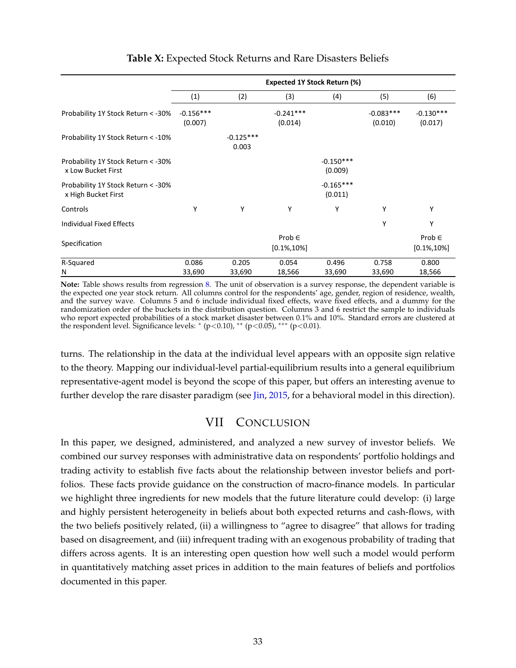<span id="page-34-0"></span>

|                                                            | <b>Expected 1Y Stock Return (%)</b> |                      |                               |                        |                        |                               |  |  |
|------------------------------------------------------------|-------------------------------------|----------------------|-------------------------------|------------------------|------------------------|-------------------------------|--|--|
|                                                            | (1)                                 | (2)                  | (3)                           | (4)                    | (5)                    | (6)                           |  |  |
| Probability 1Y Stock Return < - 30%                        | $-0.156***$<br>(0.007)              |                      | $-0.241***$<br>(0.014)        |                        | $-0.083***$<br>(0.010) | $-0.130***$<br>(0.017)        |  |  |
| Probability 1Y Stock Return < - 10%                        |                                     | $-0.125***$<br>0.003 |                               |                        |                        |                               |  |  |
| Probability 1Y Stock Return < - 30%<br>x Low Bucket First  |                                     |                      |                               | $-0.150***$<br>(0.009) |                        |                               |  |  |
| Probability 1Y Stock Return < - 30%<br>x High Bucket First |                                     |                      |                               | $-0.165***$<br>(0.011) |                        |                               |  |  |
| Controls                                                   | Υ                                   | Υ                    | Υ                             | Υ                      | Υ                      | Υ                             |  |  |
| Individual Fixed Effects                                   |                                     |                      |                               |                        | Υ                      | Υ                             |  |  |
| Specification                                              |                                     |                      | Prob $\in$<br>$[0.1\%, 10\%]$ |                        |                        | Prob $\in$<br>$[0.1\%, 10\%]$ |  |  |
| R-Squared<br>N                                             | 0.086<br>33,690                     | 0.205<br>33,690      | 0.054<br>18,566               | 0.496<br>33,690        | 0.758<br>33,690        | 0.800<br>18,566               |  |  |

## **Table X:** Expected Stock Returns and Rare Disasters Beliefs

**Note:** Table shows results from regression [8.](#page-32-3) The unit of observation is a survey response, the dependent variable is the expected one year stock return. All columns control for the respondents' age, gender, region of residence, wealth, and the survey wave. Columns 5 and 6 include individual fixed effects, wave fixed effects, and a dummy for the randomization order of the buckets in the distribution question. Columns 3 and 6 restrict the sample to individuals who report expected probabilities of a stock market disaster between 0.1% and 10%. Standard errors are clustered at the respondent level. Significance levels: \* (p<0.10), \*\* (p<0.05), \*\*\* (p<0.01).

turns. The relationship in the data at the individual level appears with an opposite sign relative to the theory. Mapping our individual-level partial-equilibrium results into a general equilibrium representative-agent model is beyond the scope of this paper, but offers an interesting avenue to further develop the rare disaster paradigm (see [Jin,](#page-37-26) [2015,](#page-37-26) for a behavioral model in this direction).

# VII CONCLUSION

In this paper, we designed, administered, and analyzed a new survey of investor beliefs. We combined our survey responses with administrative data on respondents' portfolio holdings and trading activity to establish five facts about the relationship between investor beliefs and portfolios. These facts provide guidance on the construction of macro-finance models. In particular we highlight three ingredients for new models that the future literature could develop: (i) large and highly persistent heterogeneity in beliefs about both expected returns and cash-flows, with the two beliefs positively related, (ii) a willingness to "agree to disagree" that allows for trading based on disagreement, and (iii) infrequent trading with an exogenous probability of trading that differs across agents. It is an interesting open question how well such a model would perform in quantitatively matching asset prices in addition to the main features of beliefs and portfolios documented in this paper.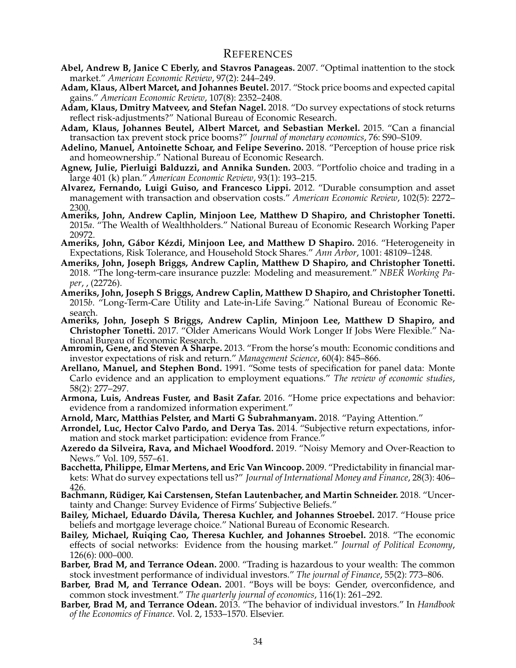- <span id="page-35-15"></span>**Abel, Andrew B, Janice C Eberly, and Stavros Panageas.** 2007. "Optimal inattention to the stock market." *American Economic Review*, 97(2): 244–249.
- <span id="page-35-8"></span>**Adam, Klaus, Albert Marcet, and Johannes Beutel.** 2017. "Stock price booms and expected capital gains." *American Economic Review*, 107(8): 2352–2408.
- <span id="page-35-7"></span>**Adam, Klaus, Dmitry Matveev, and Stefan Nagel.** 2018. "Do survey expectations of stock returns reflect risk-adjustments?" National Bureau of Economic Research.
- <span id="page-35-17"></span>**Adam, Klaus, Johannes Beutel, Albert Marcet, and Sebastian Merkel.** 2015. "Can a financial transaction tax prevent stock price booms?" *Journal of monetary economics*, 76: S90–S109.
- <span id="page-35-9"></span>**Adelino, Manuel, Antoinette Schoar, and Felipe Severino.** 2018. "Perception of house price risk and homeownership." National Bureau of Economic Research.
- <span id="page-35-14"></span>**Agnew, Julie, Pierluigi Balduzzi, and Annika Sunden.** 2003. "Portfolio choice and trading in a large 401 (k) plan." *American Economic Review*, 93(1): 193–215.
- <span id="page-35-16"></span>**Alvarez, Fernando, Luigi Guiso, and Francesco Lippi.** 2012. "Durable consumption and asset management with transaction and observation costs." *American Economic Review*, 102(5): 2272– 2300.
- <span id="page-35-2"></span>**Ameriks, John, Andrew Caplin, Minjoon Lee, Matthew D Shapiro, and Christopher Tonetti.** 2015*a*. "The Wealth of Wealthholders." National Bureau of Economic Research Working Paper 20972.
- <span id="page-35-1"></span>**Ameriks, John, Gábor Kézdi, Minjoon Lee, and Matthew D Shapiro.** 2016. "Heterogeneity in Expectations, Risk Tolerance, and Household Stock Shares." *Ann Arbor*, 1001: 48109–1248.
- <span id="page-35-5"></span>**Ameriks, John, Joseph Briggs, Andrew Caplin, Matthew D Shapiro, and Christopher Tonetti.** 2018. "The long-term-care insurance puzzle: Modeling and measurement." *NBER Working Paper*, , (22726).
- <span id="page-35-3"></span>**Ameriks, John, Joseph S Briggs, Andrew Caplin, Matthew D Shapiro, and Christopher Tonetti.** 2015*b*. "Long-Term-Care Utility and Late-in-Life Saving." National Bureau of Economic Research.
- <span id="page-35-4"></span>**Ameriks, John, Joseph S Briggs, Andrew Caplin, Minjoon Lee, Matthew D Shapiro, and Christopher Tonetti.** 2017. "Older Americans Would Work Longer If Jobs Were Flexible." National Bureau of Economic Research.
- <span id="page-35-0"></span>**Amromin, Gene, and Steven A Sharpe.** 2013. "From the horse's mouth: Economic conditions and investor expectations of risk and return." *Management Science*, 60(4): 845–866.
- <span id="page-35-21"></span>**Arellano, Manuel, and Stephen Bond.** 1991. "Some tests of specification for panel data: Monte Carlo evidence and an application to employment equations." *The review of economic studies*, 58(2): 277–297.
- <span id="page-35-22"></span>**Armona, Luis, Andreas Fuster, and Basit Zafar.** 2016. "Home price expectations and behavior: evidence from a randomized information experiment."
- **Arnold, Marc, Matthias Pelster, and Marti G Subrahmanyam.** 2018. "Paying Attention."
- <span id="page-35-19"></span><span id="page-35-6"></span>**Arrondel, Luc, Hector Calvo Pardo, and Derya Tas.** 2014. "Subjective return expectations, information and stock market participation: evidence from France."
- <span id="page-35-13"></span>**Azeredo da Silveira, Rava, and Michael Woodford.** 2019. "Noisy Memory and Over-Reaction to News." Vol. 109, 557–61.
- <span id="page-35-10"></span>**Bacchetta, Philippe, Elmar Mertens, and Eric Van Wincoop.** 2009. "Predictability in financial markets: What do survey expectations tell us?" *Journal of International Money and Finance*, 28(3): 406– 426.
- <span id="page-35-11"></span>**Bachmann, Rüdiger, Kai Carstensen, Stefan Lautenbacher, and Martin Schneider.** 2018. "Uncertainty and Change: Survey Evidence of Firms' Subjective Beliefs."
- <span id="page-35-23"></span>**Bailey, Michael, Eduardo Dávila, Theresa Kuchler, and Johannes Stroebel.** 2017. "House price beliefs and mortgage leverage choice." National Bureau of Economic Research.
- <span id="page-35-24"></span>**Bailey, Michael, Ruiqing Cao, Theresa Kuchler, and Johannes Stroebel.** 2018. "The economic effects of social networks: Evidence from the housing market." *Journal of Political Economy*, 126(6): 000–000.
- <span id="page-35-12"></span>**Barber, Brad M, and Terrance Odean.** 2000. "Trading is hazardous to your wealth: The common stock investment performance of individual investors." *The journal of Finance*, 55(2): 773–806.
- <span id="page-35-20"></span>**Barber, Brad M, and Terrance Odean.** 2001. "Boys will be boys: Gender, overconfidence, and common stock investment." *The quarterly journal of economics*, 116(1): 261–292.
- <span id="page-35-18"></span>**Barber, Brad M, and Terrance Odean.** 2013. "The behavior of individual investors." In *Handbook of the Economics of Finance*. Vol. 2, 1533–1570. Elsevier.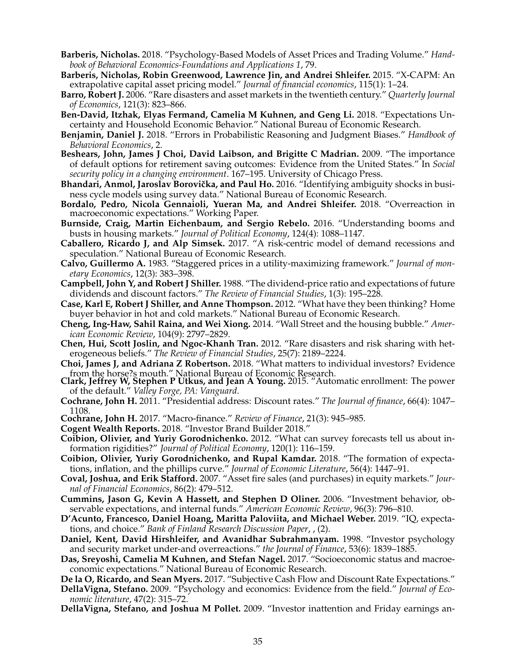- <span id="page-36-23"></span>**Barberis, Nicholas.** 2018. "Psychology-Based Models of Asset Prices and Trading Volume." *Handbook of Behavioral Economics-Foundations and Applications 1*, 79.
- <span id="page-36-8"></span>**Barberis, Nicholas, Robin Greenwood, Lawrence Jin, and Andrei Shleifer.** 2015. "X-CAPM: An extrapolative capital asset pricing model." *Journal of financial economics*, 115(1): 1–24.
- <span id="page-36-1"></span>**Barro, Robert J.** 2006. "Rare disasters and asset markets in the twentieth century." *Quarterly Journal of Economics*, 121(3): 823–866.
- <span id="page-36-26"></span>**Ben-David, Itzhak, Elyas Fermand, Camelia M Kuhnen, and Geng Li.** 2018. "Expectations Uncertainty and Household Economic Behavior." National Bureau of Economic Research.
- <span id="page-36-4"></span>**Benjamin, Daniel J.** 2018. "Errors in Probabilistic Reasoning and Judgment Biases." *Handbook of Behavioral Economics*, 2.
- <span id="page-36-19"></span>**Beshears, John, James J Choi, David Laibson, and Brigitte C Madrian.** 2009. "The importance of default options for retirement saving outcomes: Evidence from the United States." In *Social security policy in a changing environment*. 167–195. University of Chicago Press.
- <span id="page-36-9"></span>**Bhandari, Anmol, Jaroslav Borovička, and Paul Ho.** 2016. "Identifying ambiguity shocks in business cycle models using survey data." National Bureau of Economic Research.
- <span id="page-36-16"></span>**Bordalo, Pedro, Nicola Gennaioli, Yueran Ma, and Andrei Shleifer.** 2018. "Overreaction in macroeconomic expectations." Working Paper.
- <span id="page-36-13"></span>**Burnside, Craig, Martin Eichenbaum, and Sergio Rebelo.** 2016. "Understanding booms and busts in housing markets." *Journal of Political Economy*, 124(4): 1088–1147.
- <span id="page-36-10"></span>**Caballero, Ricardo J, and Alp Simsek.** 2017. "A risk-centric model of demand recessions and speculation." National Bureau of Economic Research.
- <span id="page-36-24"></span>**Calvo, Guillermo A.** 1983. "Staggered prices in a utility-maximizing framework." *Journal of monetary Economics*, 12(3): 383–398.
- <span id="page-36-0"></span>**Campbell, John Y, and Robert J Shiller.** 1988. "The dividend-price ratio and expectations of future dividends and discount factors." *The Review of Financial Studies*, 1(3): 195–228.
- <span id="page-36-11"></span>**Case, Karl E, Robert J Shiller, and Anne Thompson.** 2012. "What have they been thinking? Home buyer behavior in hot and cold markets." National Bureau of Economic Research.
- <span id="page-36-12"></span>**Cheng, Ing-Haw, Sahil Raina, and Wei Xiong.** 2014. "Wall Street and the housing bubble." *American Economic Review*, 104(9): 2797–2829.
- <span id="page-36-2"></span>**Chen, Hui, Scott Joslin, and Ngoc-Khanh Tran.** 2012. "Rare disasters and risk sharing with heterogeneous beliefs." *The Review of Financial Studies*, 25(7): 2189–2224.
- <span id="page-36-5"></span>**Choi, James J, and Adriana Z Robertson.** 2018. "What matters to individual investors? Evidence from the horse?s mouth." National Bureau of Economic Research.
- <span id="page-36-20"></span>**Clark, Jeffrey W, Stephen P Utkus, and Jean A Young.** 2015. "Automatic enrollment: The power of the default." *Valley Forge, PA: Vanguard*.
- <span id="page-36-6"></span>**Cochrane, John H.** 2011. "Presidential address: Discount rates." *The Journal of finance*, 66(4): 1047– 1108.
- **Cochrane, John H.** 2017. "Macro-finance." *Review of Finance*, 21(3): 945–985.
- <span id="page-36-7"></span>**Cogent Wealth Reports.** 2018. "Investor Brand Builder 2018."
- <span id="page-36-17"></span><span id="page-36-15"></span>**Coibion, Olivier, and Yuriy Gorodnichenko.** 2012. "What can survey forecasts tell us about information rigidities?" *Journal of Political Economy*, 120(1): 116–159.
- <span id="page-36-27"></span>**Coibion, Olivier, Yuriy Gorodnichenko, and Rupal Kamdar.** 2018. "The formation of expectations, inflation, and the phillips curve." *Journal of Economic Literature*, 56(4): 1447–91.
- <span id="page-36-18"></span>**Coval, Joshua, and Erik Stafford.** 2007. "Asset fire sales (and purchases) in equity markets." *Journal of Financial Economics*, 86(2): 479–512.
- <span id="page-36-14"></span>**Cummins, Jason G, Kevin A Hassett, and Stephen D Oliner.** 2006. "Investment behavior, observable expectations, and internal funds." *American Economic Review*, 96(3): 796–810.
- <span id="page-36-28"></span>**D'Acunto, Francesco, Daniel Hoang, Maritta Paloviita, and Michael Weber.** 2019. "IQ, expectations, and choice." *Bank of Finland Research Discussion Paper*, , (2).
- <span id="page-36-22"></span>**Daniel, Kent, David Hirshleifer, and Avanidhar Subrahmanyam.** 1998. "Investor psychology and security market under-and overreactions." *the Journal of Finance*, 53(6): 1839–1885.
- <span id="page-36-25"></span>**Das, Sreyoshi, Camelia M Kuhnen, and Stefan Nagel.** 2017. "Socioeconomic status and macroeconomic expectations." National Bureau of Economic Research.
- **De la O, Ricardo, and Sean Myers.** 2017. "Subjective Cash Flow and Discount Rate Expectations."
- <span id="page-36-29"></span><span id="page-36-3"></span>**DellaVigna, Stefano.** 2009. "Psychology and economics: Evidence from the field." *Journal of Economic literature*, 47(2): 315–72.
- <span id="page-36-21"></span>**DellaVigna, Stefano, and Joshua M Pollet.** 2009. "Investor inattention and Friday earnings an-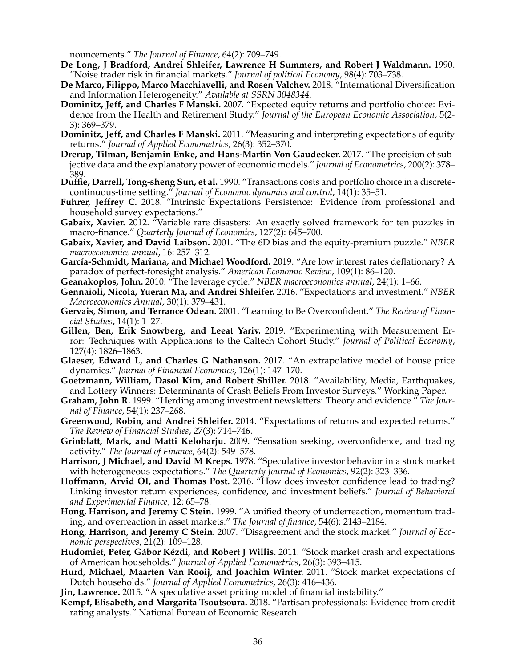nouncements." *The Journal of Finance*, 64(2): 709–749.

- <span id="page-37-16"></span>**De Long, J Bradford, Andrei Shleifer, Lawrence H Summers, and Robert J Waldmann.** 1990. "Noise trader risk in financial markets." *Journal of political Economy*, 98(4): 703–738.
- <span id="page-37-5"></span>**De Marco, Filippo, Marco Macchiavelli, and Rosen Valchev.** 2018. "International Diversification and Information Heterogeneity." *Available at SSRN 3048344*.
- <span id="page-37-0"></span>**Dominitz, Jeff, and Charles F Manski.** 2007. "Expected equity returns and portfolio choice: Evidence from the Health and Retirement Study." *Journal of the European Economic Association*, 5(2- 3): 369–379.
- <span id="page-37-23"></span>**Dominitz, Jeff, and Charles F Manski.** 2011. "Measuring and interpreting expectations of equity returns." *Journal of Applied Econometrics*, 26(3): 352–370.
- <span id="page-37-2"></span>**Drerup, Tilman, Benjamin Enke, and Hans-Martin Von Gaudecker.** 2017. "The precision of subjective data and the explanatory power of economic models." *Journal of Econometrics*, 200(2): 378– 389.
- <span id="page-37-14"></span>**Duffie, Darrell, Tong-sheng Sun, et al.** 1990. "Transactions costs and portfolio choice in a discretecontinuous-time setting." *Journal of Economic dynamics and control*, 14(1): 35–51.
- <span id="page-37-11"></span>Fuhrer, Jeffrey C. 2018. "Intrinsic Expectations Persistence: Evidence from professional and household survey expectations."
- <span id="page-37-1"></span>Gabaix, Xavier. 2012. "Variable rare disasters: An exactly solved framework for ten puzzles in macro-finance." *Quarterly Journal of Economics*, 127(2): 645–700.
- <span id="page-37-15"></span>**Gabaix, Xavier, and David Laibson.** 2001. "The 6D bias and the equity-premium puzzle." *NBER macroeconomics annual*, 16: 257–312.
- <span id="page-37-10"></span>**García-Schmidt, Mariana, and Michael Woodford.** 2019. "Are low interest rates deflationary? A paradox of perfect-foresight analysis." *American Economic Review*, 109(1): 86–120.
- **Geanakoplos, John.** 2010. "The leverage cycle." *NBER macroeconomics annual*, 24(1): 1–66.
- <span id="page-37-9"></span><span id="page-37-7"></span>**Gennaioli, Nicola, Yueran Ma, and Andrei Shleifer.** 2016. "Expectations and investment." *NBER Macroeconomics Annual*, 30(1): 379–431.
- <span id="page-37-17"></span>**Gervais, Simon, and Terrance Odean.** 2001. "Learning to Be Overconfident." *The Review of Financial Studies*, 14(1): 1–27.
- <span id="page-37-13"></span>**Gillen, Ben, Erik Snowberg, and Leeat Yariv.** 2019. "Experimenting with Measurement Error: Techniques with Applications to the Caltech Cohort Study." *Journal of Political Economy*, 127(4): 1826–1863.
- <span id="page-37-8"></span>**Glaeser, Edward L, and Charles G Nathanson.** 2017. "An extrapolative model of house price dynamics." *Journal of Financial Economics*, 126(1): 147–170.
- <span id="page-37-25"></span>**Goetzmann, William, Dasol Kim, and Robert Shiller.** 2018. "Availability, Media, Earthquakes, and Lottery Winners: Determinants of Crash Beliefs From Investor Surveys." Working Paper.
- <span id="page-37-24"></span>**Graham, John R.** 1999. "Herding among investment newsletters: Theory and evidence." *The Journal of Finance*, 54(1): 237–268.
- <span id="page-37-6"></span>**Greenwood, Robin, and Andrei Shleifer.** 2014. "Expectations of returns and expected returns." *The Review of Financial Studies*, 27(3): 714–746.
- <span id="page-37-18"></span>**Grinblatt, Mark, and Matti Keloharju.** 2009. "Sensation seeking, overconfidence, and trading activity." *The Journal of Finance*, 64(2): 549–578.
- <span id="page-37-20"></span>**Harrison, J Michael, and David M Kreps.** 1978. "Speculative investor behavior in a stock market with heterogeneous expectations." *The Quarterly Journal of Economics*, 92(2): 323–336.
- <span id="page-37-19"></span>**Hoffmann, Arvid OI, and Thomas Post.** 2016. "How does investor confidence lead to trading? Linking investor return experiences, confidence, and investment beliefs." *Journal of Behavioral and Experimental Finance*, 12: 65–78.
- <span id="page-37-21"></span>**Hong, Harrison, and Jeremy C Stein.** 1999. "A unified theory of underreaction, momentum trading, and overreaction in asset markets." *The Journal of finance*, 54(6): 2143–2184.
- <span id="page-37-22"></span>**Hong, Harrison, and Jeremy C Stein.** 2007. "Disagreement and the stock market." *Journal of Economic perspectives*, 21(2): 109–128.
- <span id="page-37-4"></span>**Hudomiet, Peter, Gábor Kézdi, and Robert J Willis.** 2011. "Stock market crash and expectations of American households." *Journal of Applied Econometrics*, 26(3): 393–415.
- <span id="page-37-3"></span>**Hurd, Michael, Maarten Van Rooij, and Joachim Winter.** 2011. "Stock market expectations of Dutch households." *Journal of Applied Econometrics*, 26(3): 416–436.
- **Jin, Lawrence.** 2015. "A speculative asset pricing model of financial instability."
- <span id="page-37-26"></span><span id="page-37-12"></span>**Kempf, Elisabeth, and Margarita Tsoutsoura.** 2018. "Partisan professionals: Evidence from credit rating analysts." National Bureau of Economic Research.